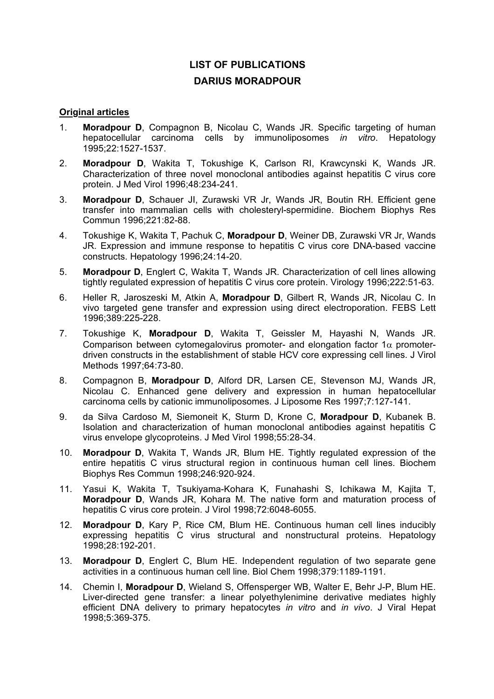# **LIST OF PUBLICATIONS DARIUS MORADPOUR**

## **Original articles**

- 1. **Moradpour D**, Compagnon B, Nicolau C, Wands JR. Specific targeting of human hepatocellular carcinoma cells by immunoliposomes *in vitro*. Hepatology 1995;22:1527-1537.
- 2. **Moradpour D**, Wakita T, Tokushige K, Carlson RI, Krawcynski K, Wands JR. Characterization of three novel monoclonal antibodies against hepatitis C virus core protein. J Med Virol 1996;48:234-241.
- 3. **Moradpour D**, Schauer JI, Zurawski VR Jr, Wands JR, Boutin RH. Efficient gene transfer into mammalian cells with cholesteryl-spermidine. Biochem Biophys Res Commun 1996;221:82-88.
- 4. Tokushige K, Wakita T, Pachuk C, **Moradpour D**, Weiner DB, Zurawski VR Jr, Wands JR. Expression and immune response to hepatitis C virus core DNA-based vaccine constructs. Hepatology 1996;24:14-20.
- 5. **Moradpour D**, Englert C, Wakita T, Wands JR. Characterization of cell lines allowing tightly regulated expression of hepatitis C virus core protein. Virology 1996;222:51-63.
- 6. Heller R, Jaroszeski M, Atkin A, **Moradpour D**, Gilbert R, Wands JR, Nicolau C. In vivo targeted gene transfer and expression using direct electroporation. FEBS Lett 1996;389:225-228.
- 7. Tokushige K, **Moradpour D**, Wakita T, Geissler M, Hayashi N, Wands JR. Comparison between cytomegalovirus promoter- and elongation factor  $1\alpha$  promoterdriven constructs in the establishment of stable HCV core expressing cell lines. J Virol Methods 1997;64:73-80.
- 8. Compagnon B, **Moradpour D**, Alford DR, Larsen CE, Stevenson MJ, Wands JR, Nicolau C. Enhanced gene delivery and expression in human hepatocellular carcinoma cells by cationic immunoliposomes. J Liposome Res 1997;7:127-141.
- 9. da Silva Cardoso M, Siemoneit K, Sturm D, Krone C, **Moradpour D**, Kubanek B. Isolation and characterization of human monoclonal antibodies against hepatitis C virus envelope glycoproteins. J Med Virol 1998;55:28-34.
- 10. **Moradpour D**, Wakita T, Wands JR, Blum HE. Tightly regulated expression of the entire hepatitis C virus structural region in continuous human cell lines. Biochem Biophys Res Commun 1998;246:920-924.
- 11. Yasui K, Wakita T, Tsukiyama-Kohara K, Funahashi S, Ichikawa M, Kajita T, **Moradpour D**, Wands JR, Kohara M. The native form and maturation process of hepatitis C virus core protein. J Virol 1998;72:6048-6055.
- 12. **Moradpour D**, Kary P, Rice CM, Blum HE. Continuous human cell lines inducibly expressing hepatitis C virus structural and nonstructural proteins. Hepatology 1998;28:192-201.
- 13. **Moradpour D**, Englert C, Blum HE. Independent regulation of two separate gene activities in a continuous human cell line. Biol Chem 1998;379:1189-1191.
- 14. Chemin I, **Moradpour D**, Wieland S, Offensperger WB, Walter E, Behr J-P, Blum HE. Liver-directed gene transfer: a linear polyethylenimine derivative mediates highly efficient DNA delivery to primary hepatocytes *in vitro* and *in vivo*. J Viral Hepat 1998;5:369-375.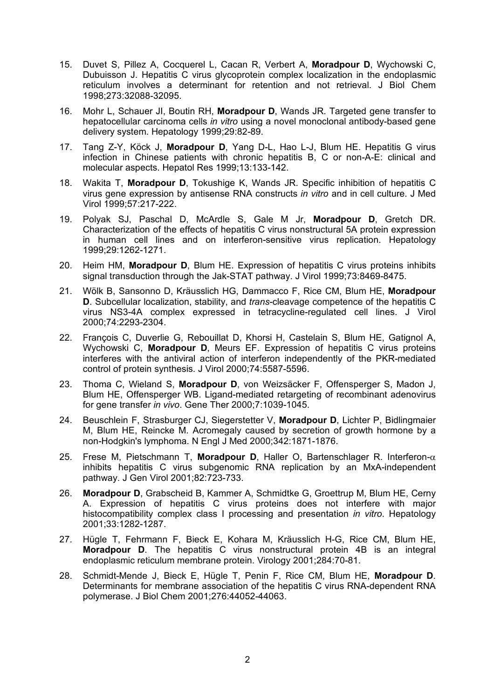- 15. Duvet S, Pillez A, Cocquerel L, Cacan R, Verbert A, **Moradpour D**, Wychowski C, Dubuisson J. Hepatitis C virus glycoprotein complex localization in the endoplasmic reticulum involves a determinant for retention and not retrieval. J Biol Chem 1998;273:32088-32095.
- 16. Mohr L, Schauer JI, Boutin RH, **Moradpour D**, Wands JR. Targeted gene transfer to hepatocellular carcinoma cells *in vitro* using a novel monoclonal antibody-based gene delivery system. Hepatology 1999;29:82-89.
- 17. Tang Z-Y, Köck J, **Moradpour D**, Yang D-L, Hao L-J, Blum HE. Hepatitis G virus infection in Chinese patients with chronic hepatitis B, C or non-A-E: clinical and molecular aspects. Hepatol Res 1999;13:133-142.
- 18. Wakita T, **Moradpour D**, Tokushige K, Wands JR. Specific inhibition of hepatitis C virus gene expression by antisense RNA constructs *in vitro* and in cell culture. J Med Virol 1999;57:217-222.
- 19. Polyak SJ, Paschal D, McArdle S, Gale M Jr, **Moradpour D**, Gretch DR. Characterization of the effects of hepatitis C virus nonstructural 5A protein expression in human cell lines and on interferon-sensitive virus replication. Hepatology 1999;29:1262-1271.
- 20. Heim HM, **Moradpour D**, Blum HE. Expression of hepatitis C virus proteins inhibits signal transduction through the Jak-STAT pathway. J Virol 1999;73:8469-8475.
- 21. Wölk B, Sansonno D, Kräusslich HG, Dammacco F, Rice CM, Blum HE, **Moradpour D**. Subcellular localization, stability, and *trans*-cleavage competence of the hepatitis C virus NS3-4A complex expressed in tetracycline-regulated cell lines. J Virol 2000;74:2293-2304.
- 22. François C, Duverlie G, Rebouillat D, Khorsi H, Castelain S, Blum HE, Gatignol A, Wychowski C, **Moradpour D**, Meurs EF. Expression of hepatitis C virus proteins interferes with the antiviral action of interferon independently of the PKR-mediated control of protein synthesis. J Virol 2000;74:5587-5596.
- 23. Thoma C, Wieland S, **Moradpour D**, von Weizsäcker F, Offensperger S, Madon J, Blum HE, Offensperger WB. Ligand-mediated retargeting of recombinant adenovirus for gene transfer *in vivo*. Gene Ther 2000;7:1039-1045.
- 24. Beuschlein F, Strasburger CJ, Siegerstetter V, **Moradpour D**, Lichter P, Bidlingmaier M, Blum HE, Reincke M. Acromegaly caused by secretion of growth hormone by a non-Hodgkin's lymphoma. N Engl J Med 2000;342:1871-1876.
- 25. Frese M, Pietschmann T, **Moradpour D**, Haller O, Bartenschlager R. Interferon-a inhibits hepatitis C virus subgenomic RNA replication by an MxA-independent pathway. J Gen Virol 2001;82:723-733.
- 26. **Moradpour D**, Grabscheid B, Kammer A, Schmidtke G, Groettrup M, Blum HE, Cerny A. Expression of hepatitis C virus proteins does not interfere with major histocompatibility complex class I processing and presentation *in vitro*. Hepatology 2001;33:1282-1287.
- 27. Hügle T, Fehrmann F, Bieck E, Kohara M, Kräusslich H-G, Rice CM, Blum HE, **Moradpour D**. The hepatitis C virus nonstructural protein 4B is an integral endoplasmic reticulum membrane protein. Virology 2001;284:70-81.
- 28. Schmidt-Mende J, Bieck E, Hügle T, Penin F, Rice CM, Blum HE, **Moradpour D**. Determinants for membrane association of the hepatitis C virus RNA-dependent RNA polymerase. J Biol Chem 2001;276:44052-44063.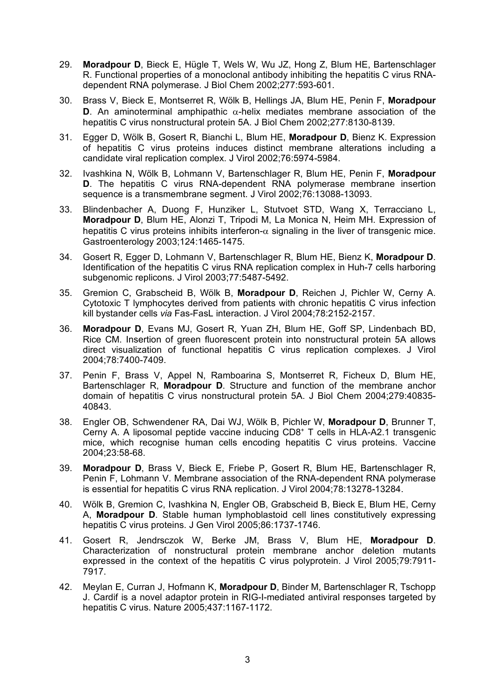- 29. **Moradpour D**, Bieck E, Hügle T, Wels W, Wu JZ, Hong Z, Blum HE, Bartenschlager R. Functional properties of a monoclonal antibody inhibiting the hepatitis C virus RNAdependent RNA polymerase. J Biol Chem 2002;277:593-601.
- 30. Brass V, Bieck E, Montserret R, Wölk B, Hellings JA, Blum HE, Penin F, **Moradpour D.** An aminoterminal amphipathic  $\alpha$ -helix mediates membrane association of the hepatitis C virus nonstructural protein 5A. J Biol Chem 2002;277:8130-8139.
- 31. Egger D, Wölk B, Gosert R, Bianchi L, Blum HE, **Moradpour D**, Bienz K. Expression of hepatitis C virus proteins induces distinct membrane alterations including a candidate viral replication complex. J Virol 2002;76:5974-5984.
- 32. Ivashkina N, Wölk B, Lohmann V, Bartenschlager R, Blum HE, Penin F, **Moradpour D**. The hepatitis C virus RNA-dependent RNA polymerase membrane insertion sequence is a transmembrane segment. J Virol 2002;76:13088-13093.
- 33. Blindenbacher A, Duong F, Hunziker L, Stutvoet STD, Wang X, Terracciano L, **Moradpour D**, Blum HE, Alonzi T, Tripodi M, La Monica N, Heim MH. Expression of hepatitis C virus proteins inhibits interferon- $\alpha$  signaling in the liver of transgenic mice. Gastroenterology 2003;124:1465-1475.
- 34. Gosert R, Egger D, Lohmann V, Bartenschlager R, Blum HE, Bienz K, **Moradpour D**. Identification of the hepatitis C virus RNA replication complex in Huh-7 cells harboring subgenomic replicons. J Virol 2003;77:5487-5492.
- 35. Gremion C, Grabscheid B, Wölk B, **Moradpour D**, Reichen J, Pichler W, Cerny A. Cytotoxic T lymphocytes derived from patients with chronic hepatitis C virus infection kill bystander cells *via* Fas-FasL interaction. J Virol 2004;78:2152-2157.
- 36. **Moradpour D**, Evans MJ, Gosert R, Yuan ZH, Blum HE, Goff SP, Lindenbach BD, Rice CM. Insertion of green fluorescent protein into nonstructural protein 5A allows direct visualization of functional hepatitis C virus replication complexes. J Virol 2004;78:7400-7409.
- 37. Penin F, Brass V, Appel N, Ramboarina S, Montserret R, Ficheux D, Blum HE, Bartenschlager R, **Moradpour D**. Structure and function of the membrane anchor domain of hepatitis C virus nonstructural protein 5A. J Biol Chem 2004;279:40835- 40843.
- 38. Engler OB, Schwendener RA, Dai WJ, Wölk B, Pichler W, **Moradpour D**, Brunner T, Cerny A. A liposomal peptide vaccine inducing CD8+ T cells in HLA-A2.1 transgenic mice, which recognise human cells encoding hepatitis C virus proteins. Vaccine 2004;23:58-68.
- 39. **Moradpour D**, Brass V, Bieck E, Friebe P, Gosert R, Blum HE, Bartenschlager R, Penin F, Lohmann V. Membrane association of the RNA-dependent RNA polymerase is essential for hepatitis C virus RNA replication. J Virol 2004;78:13278-13284.
- 40. Wölk B, Gremion C, Ivashkina N, Engler OB, Grabscheid B, Bieck E, Blum HE, Cerny A, **Moradpour D**. Stable human lymphoblastoid cell lines constitutively expressing hepatitis C virus proteins. J Gen Virol 2005;86:1737-1746.
- 41. Gosert R, Jendrsczok W, Berke JM, Brass V, Blum HE, **Moradpour D**. Characterization of nonstructural protein membrane anchor deletion mutants expressed in the context of the hepatitis C virus polyprotein. J Virol 2005;79:7911- 7917.
- 42. Meylan E, Curran J, Hofmann K, **Moradpour D**, Binder M, Bartenschlager R, Tschopp J. Cardif is a novel adaptor protein in RIG-I-mediated antiviral responses targeted by hepatitis C virus. Nature 2005;437:1167-1172.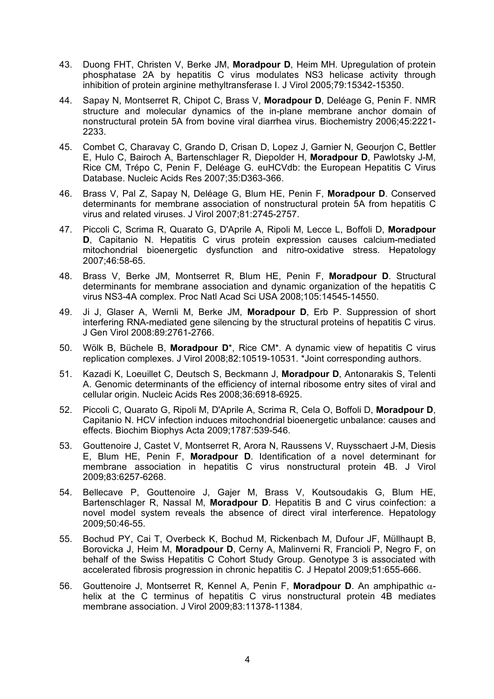- 43. Duong FHT, Christen V, Berke JM, **Moradpour D**, Heim MH. Upregulation of protein phosphatase 2A by hepatitis C virus modulates NS3 helicase activity through inhibition of protein arginine methyltransferase I. J Virol 2005;79:15342-15350.
- 44. Sapay N, Montserret R, Chipot C, Brass V, **Moradpour D**, Deléage G, Penin F. NMR structure and molecular dynamics of the in-plane membrane anchor domain of nonstructural protein 5A from bovine viral diarrhea virus. Biochemistry 2006;45:2221- 2233.
- 45. Combet C, Charavay C, Grando D, Crisan D, Lopez J, Garnier N, Geourjon C, Bettler E, Hulo C, Bairoch A, Bartenschlager R, Diepolder H, **Moradpour D**, Pawlotsky J-M, Rice CM, Trépo C, Penin F, Deléage G. euHCVdb: the European Hepatitis C Virus Database. Nucleic Acids Res 2007;35:D363-366.
- 46. Brass V, Pal Z, Sapay N, Deléage G, Blum HE, Penin F, **Moradpour D**. Conserved determinants for membrane association of nonstructural protein 5A from hepatitis C virus and related viruses. J Virol 2007;81:2745-2757.
- 47. Piccoli C, Scrima R, Quarato G, D'Aprile A, Ripoli M, Lecce L, Boffoli D, **Moradpour D**, Capitanio N. Hepatitis C virus protein expression causes calcium-mediated mitochondrial bioenergetic dysfunction and nitro-oxidative stress. Hepatology 2007;46:58-65.
- 48. Brass V, Berke JM, Montserret R, Blum HE, Penin F, **Moradpour D**. Structural determinants for membrane association and dynamic organization of the hepatitis C virus NS3-4A complex. Proc Natl Acad Sci USA 2008;105:14545-14550.
- 49. Ji J, Glaser A, Wernli M, Berke JM, **Moradpour D**, Erb P. Suppression of short interfering RNA-mediated gene silencing by the structural proteins of hepatitis C virus. J Gen Virol 2008:89:2761-2766.
- 50. Wölk B, Büchele B, **Moradpour D**\*, Rice CM\*. A dynamic view of hepatitis C virus replication complexes. J Virol 2008;82:10519-10531. \*Joint corresponding authors.
- 51. Kazadi K, Loeuillet C, Deutsch S, Beckmann J, **Moradpour D**, Antonarakis S, Telenti A. Genomic determinants of the efficiency of internal ribosome entry sites of viral and cellular origin. Nucleic Acids Res 2008;36:6918-6925.
- 52. Piccoli C, Quarato G, Ripoli M, D'Aprile A, Scrima R, Cela O, Boffoli D, **Moradpour D**, Capitanio N. HCV infection induces mitochondrial bioenergetic unbalance: causes and effects. Biochim Biophys Acta 2009;1787:539-546.
- 53. Gouttenoire J, Castet V, Montserret R, Arora N, Raussens V, Ruysschaert J-M, Diesis E, Blum HE, Penin F, **Moradpour D**. Identification of a novel determinant for membrane association in hepatitis C virus nonstructural protein 4B. J Virol 2009;83:6257-6268.
- 54. Bellecave P, Gouttenoire J, Gajer M, Brass V, Koutsoudakis G, Blum HE, Bartenschlager R, Nassal M, **Moradpour D**. Hepatitis B and C virus coinfection: a novel model system reveals the absence of direct viral interference. Hepatology 2009;50:46-55.
- 55. Bochud PY, Cai T, Overbeck K, Bochud M, Rickenbach M, Dufour JF, Müllhaupt B, Borovicka J, Heim M, **Moradpour D**, Cerny A, Malinverni R, Francioli P, Negro F, on behalf of the Swiss Hepatitis C Cohort Study Group. Genotype 3 is associated with accelerated fibrosis progression in chronic hepatitis C. J Hepatol 2009;51:655-666.
- 56. Gouttenoire J, Montserret R, Kennel A, Penin F, **Moradpour D**. An amphipathic ahelix at the C terminus of hepatitis C virus nonstructural protein 4B mediates membrane association. J Virol 2009;83:11378-11384.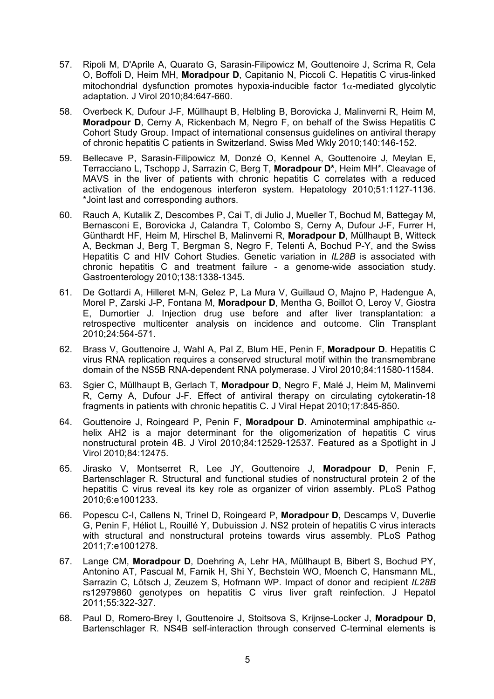- 57. Ripoli M, D'Aprile A, Quarato G, Sarasin-Filipowicz M, Gouttenoire J, Scrima R, Cela O, Boffoli D, Heim MH, **Moradpour D**, Capitanio N, Piccoli C. Hepatitis C virus-linked mitochondrial dysfunction promotes hypoxia-inducible factor  $1\alpha$ -mediated glycolytic adaptation. J Virol 2010;84:647-660.
- 58. Overbeck K, Dufour J-F, Müllhaupt B, Helbling B, Borovicka J, Malinverni R, Heim M, **Moradpour D**, Cerny A, Rickenbach M, Negro F, on behalf of the Swiss Hepatitis C Cohort Study Group. Impact of international consensus guidelines on antiviral therapy of chronic hepatitis C patients in Switzerland. Swiss Med Wkly 2010;140:146-152.
- 59. Bellecave P, Sarasin-Filipowicz M, Donzé O, Kennel A, Gouttenoire J, Meylan E, Terracciano L, Tschopp J, Sarrazin C, Berg T, **Moradpour D\***, Heim MH\*. Cleavage of MAVS in the liver of patients with chronic hepatitis C correlates with a reduced activation of the endogenous interferon system. Hepatology 2010;51:1127-1136. \*Joint last and corresponding authors.
- 60. Rauch A, Kutalik Z, Descombes P, Cai T, di Julio J, Mueller T, Bochud M, Battegay M, Bernasconi E, Borovicka J, Calandra T, Colombo S, Cerny A, Dufour J-F, Furrer H, Günthardt HF, Heim M, Hirschel B, Malinverni R, **Moradpour D**, Müllhaupt B, Witteck A, Beckman J, Berg T, Bergman S, Negro F, Telenti A, Bochud P-Y, and the Swiss Hepatitis C and HIV Cohort Studies. Genetic variation in *IL28B* is associated with chronic hepatitis C and treatment failure - a genome-wide association study. Gastroenterology 2010;138:1338-1345.
- 61. De Gottardi A, Hilleret M-N, Gelez P, La Mura V, Guillaud O, Majno P, Hadengue A, Morel P, Zarski J-P, Fontana M, **Moradpour D**, Mentha G, Boillot O, Leroy V, Giostra E, Dumortier J. Injection drug use before and after liver transplantation: a retrospective multicenter analysis on incidence and outcome. Clin Transplant 2010;24:564-571.
- 62. Brass V, Gouttenoire J, Wahl A, Pal Z, Blum HE, Penin F, **Moradpour D**. Hepatitis C virus RNA replication requires a conserved structural motif within the transmembrane domain of the NS5B RNA-dependent RNA polymerase. J Virol 2010;84:11580-11584.
- 63. Sgier C, Müllhaupt B, Gerlach T, **Moradpour D**, Negro F, Malé J, Heim M, Malinverni R, Cerny A, Dufour J-F. Effect of antiviral therapy on circulating cytokeratin-18 fragments in patients with chronic hepatitis C. J Viral Hepat 2010;17:845-850.
- 64. Gouttenoire J, Roingeard P, Penin F, **Moradpour D**. Aminoterminal amphipathic ahelix AH2 is a major determinant for the oligomerization of hepatitis C virus nonstructural protein 4B. J Virol 2010;84:12529-12537. Featured as a Spotlight in J Virol 2010;84:12475.
- 65. Jirasko V, Montserret R, Lee JY, Gouttenoire J, **Moradpour D**, Penin F, Bartenschlager R. Structural and functional studies of nonstructural protein 2 of the hepatitis C virus reveal its key role as organizer of virion assembly. PLoS Pathog 2010;6:e1001233.
- 66. Popescu C-I, Callens N, Trinel D, Roingeard P, **Moradpour D**, Descamps V, Duverlie G, Penin F, Héliot L, Rouillé Y, Dubuission J. NS2 protein of hepatitis C virus interacts with structural and nonstructural proteins towards virus assembly. PLoS Pathog 2011;7:e1001278.
- 67. Lange CM, **Moradpour D**, Doehring A, Lehr HA, Müllhaupt B, Bibert S, Bochud PY, Antonino AT, Pascual M, Farnik H, Shi Y, Bechstein WO, Moench C, Hansmann ML, Sarrazin C, Lötsch J, Zeuzem S, Hofmann WP. Impact of donor and recipient *IL28B* rs12979860 genotypes on hepatitis C virus liver graft reinfection. J Hepatol 2011;55:322-327.
- 68. Paul D, Romero-Brey I, Gouttenoire J, Stoitsova S, Krijnse-Locker J, **Moradpour D**, Bartenschlager R. NS4B self-interaction through conserved C-terminal elements is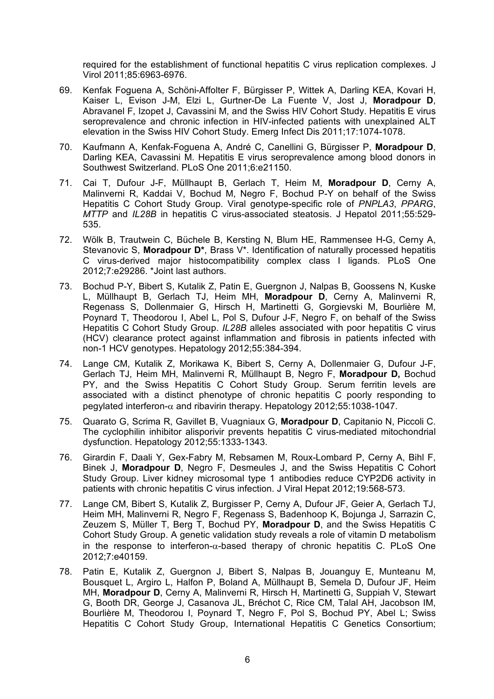required for the establishment of functional hepatitis C virus replication complexes. J Virol 2011;85:6963-6976.

- 69. Kenfak Foguena A, Schöni-Affolter F, Bürgisser P, Wittek A, Darling KEA, Kovari H, Kaiser L, Evison J-M, Elzi L, Gurtner-De La Fuente V, Jost J, **Moradpour D**, Abravanel F, Izopet J, Cavassini M, and the Swiss HIV Cohort Study. Hepatitis E virus seroprevalence and chronic infection in HIV-infected patients with unexplained ALT elevation in the Swiss HIV Cohort Study. Emerg Infect Dis 2011;17:1074-1078.
- 70. Kaufmann A, Kenfak-Foguena A, André C, Canellini G, Bürgisser P, **Moradpour D**, Darling KEA, Cavassini M. Hepatitis E virus seroprevalence among blood donors in Southwest Switzerland. PLoS One 2011;6:e21150.
- 71. Cai T, Dufour J-F, Müllhaupt B, Gerlach T, Heim M, **Moradpour D**, Cerny A, Malinverni R, Kaddai V, Bochud M, Negro F, Bochud P-Y on behalf of the Swiss Hepatitis C Cohort Study Group. Viral genotype-specific role of *PNPLA3*, *PPARG*, *MTTP* and *IL28B* in hepatitis C virus-associated steatosis. J Hepatol 2011;55:529- 535.
- 72. Wölk B, Trautwein C, Büchele B, Kersting N, Blum HE, Rammensee H-G, Cerny A, Stevanovic S, **Moradpour D\***, Brass V\*. Identification of naturally processed hepatitis C virus-derived major histocompatibility complex class I ligands. PLoS One 2012;7:e29286. \*Joint last authors.
- 73. Bochud P-Y, Bibert S, Kutalik Z, Patin E, Guergnon J, Nalpas B, Goossens N, Kuske L, Müllhaupt B, Gerlach TJ, Heim MH, **Moradpour D**, Cerny A, Malinverni R, Regenass S, Dollenmaier G, Hirsch H, Martinetti G, Gorgievski M, Bourlière M, Poynard T, Theodorou I, Abel L, Pol S, Dufour J-F, Negro F, on behalf of the Swiss Hepatitis C Cohort Study Group. *IL28B* alleles associated with poor hepatitis C virus (HCV) clearance protect against inflammation and fibrosis in patients infected with non-1 HCV genotypes. Hepatology 2012;55:384-394.
- 74. Lange CM, Kutalik Z, Morikawa K, Bibert S, Cerny A, Dollenmaier G, Dufour J-F, Gerlach TJ, Heim MH, Malinverni R, Müllhaupt B, Negro F, **Moradpour D,** Bochud PY, and the Swiss Hepatitis C Cohort Study Group. Serum ferritin levels are associated with a distinct phenotype of chronic hepatitis C poorly responding to pegylated interferon- $\alpha$  and ribavirin therapy. Hepatology 2012;55:1038-1047.
- 75. Quarato G, Scrima R, Gavillet B, Vuagniaux G, **Moradpour D**, Capitanio N, Piccoli C. The cyclophilin inhibitor alisporivir prevents hepatitis C virus-mediated mitochondrial dysfunction. Hepatology 2012;55:1333-1343.
- 76. Girardin F, Daali Y, Gex-Fabry M, Rebsamen M, Roux-Lombard P, Cerny A, Bihl F, Binek J, **Moradpour D**, Negro F, Desmeules J, and the Swiss Hepatitis C Cohort Study Group. Liver kidney microsomal type 1 antibodies reduce CYP2D6 activity in patients with chronic hepatitis C virus infection. J Viral Hepat 2012;19:568-573.
- 77. Lange CM, Bibert S, Kutalik Z, Burgisser P, Cerny A, Dufour JF, Geier A, Gerlach TJ, Heim MH, Malinverni R, Negro F, Regenass S, Badenhoop K, Bojunga J, Sarrazin C, Zeuzem S, Müller T, Berg T, Bochud PY, **Moradpour D**, and the Swiss Hepatitis C Cohort Study Group. A genetic validation study reveals a role of vitamin D metabolism in the response to interferon- $\alpha$ -based therapy of chronic hepatitis C. PLoS One 2012;7:e40159.
- 78. Patin E, Kutalik Z, Guergnon J, Bibert S, Nalpas B, Jouanguy E, Munteanu M, Bousquet L, Argiro L, Halfon P, Boland A, Müllhaupt B, Semela D, Dufour JF, Heim MH, **Moradpour D**, Cerny A, Malinverni R, Hirsch H, Martinetti G, Suppiah V, Stewart G, Booth DR, George J, Casanova JL, Bréchot C, Rice CM, Talal AH, Jacobson IM, Bourlière M, Theodorou I, Poynard T, Negro F, Pol S, Bochud PY, Abel L; Swiss Hepatitis C Cohort Study Group, International Hepatitis C Genetics Consortium;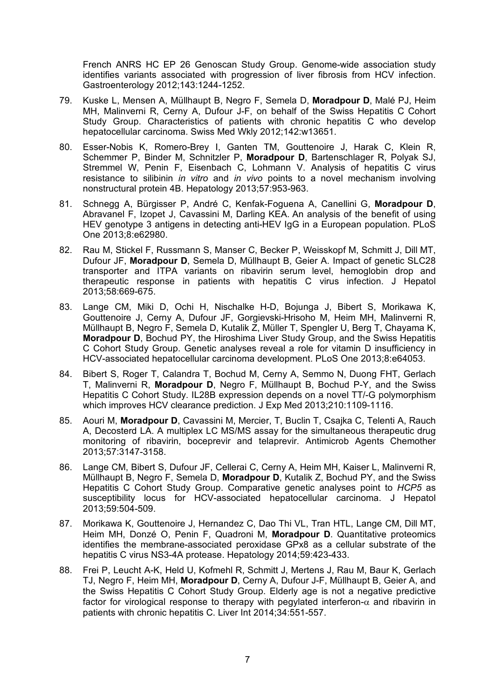French ANRS HC EP 26 Genoscan Study Group. Genome-wide association study identifies variants associated with progression of liver fibrosis from HCV infection. Gastroenterology 2012;143:1244-1252.

- 79. Kuske L, Mensen A, Müllhaupt B, Negro F, Semela D, **Moradpour D**, Malé PJ, Heim MH, Malinverni R, Cerny A, Dufour J-F, on behalf of the Swiss Hepatitis C Cohort Study Group. Characteristics of patients with chronic hepatitis C who develop hepatocellular carcinoma. Swiss Med Wkly 2012;142:w13651.
- 80. Esser-Nobis K, Romero-Brey I, Ganten TM, Gouttenoire J, Harak C, Klein R, Schemmer P, Binder M, Schnitzler P, **Moradpour D**, Bartenschlager R, Polyak SJ, Stremmel W, Penin F, Eisenbach C, Lohmann V. Analysis of hepatitis C virus resistance to silibinin *in vitro* and *in vivo* points to a novel mechanism involving nonstructural protein 4B. Hepatology 2013;57:953-963.
- 81. Schnegg A, Bürgisser P, André C, Kenfak-Foguena A, Canellini G, **Moradpour D**, Abravanel F, Izopet J, Cavassini M, Darling KEA. An analysis of the benefit of using HEV genotype 3 antigens in detecting anti-HEV IgG in a European population. PLoS One 2013;8:e62980.
- 82. Rau M, Stickel F, Russmann S, Manser C, Becker P, Weisskopf M, Schmitt J, Dill MT, Dufour JF, **Moradpour D**, Semela D, Müllhaupt B, Geier A. Impact of genetic SLC28 transporter and ITPA variants on ribavirin serum level, hemoglobin drop and therapeutic response in patients with hepatitis C virus infection. J Hepatol 2013;58:669-675.
- 83. Lange CM, Miki D, Ochi H, Nischalke H-D, Bojunga J, Bibert S, Morikawa K, Gouttenoire J, Cerny A, Dufour JF, Gorgievski-Hrisoho M, Heim MH, Malinverni R, Müllhaupt B, Negro F, Semela D, Kutalik Z, Müller T, Spengler U, Berg T, Chayama K, **Moradpour D**, Bochud PY, the Hiroshima Liver Study Group, and the Swiss Hepatitis C Cohort Study Group. Genetic analyses reveal a role for vitamin D insufficiency in HCV-associated hepatocellular carcinoma development. PLoS One 2013;8:e64053.
- 84. Bibert S, Roger T, Calandra T, Bochud M, Cerny A, Semmo N, Duong FHT, Gerlach T, Malinverni R, **Moradpour D**, Negro F, Müllhaupt B, Bochud P-Y, and the Swiss Hepatitis C Cohort Study. IL28B expression depends on a novel TT/-G polymorphism which improves HCV clearance prediction. J Exp Med 2013;210:1109-1116.
- 85. Aouri M, **Moradpour D**, Cavassini M, Mercier, T, Buclin T, Csajka C, Telenti A, Rauch A, Decosterd LA. A multiplex LC MS/MS assay for the simultaneous therapeutic drug monitoring of ribavirin, boceprevir and telaprevir. Antimicrob Agents Chemother 2013;57:3147-3158.
- 86. Lange CM, Bibert S, Dufour JF, Cellerai C, Cerny A, Heim MH, Kaiser L, Malinverni R, Müllhaupt B, Negro F, Semela D, **Moradpour D**, Kutalik Z, Bochud PY, and the Swiss Hepatitis C Cohort Study Group. Comparative genetic analyses point to *HCP5* as susceptibility locus for HCV-associated hepatocellular carcinoma. J Hepatol 2013;59:504-509.
- 87. Morikawa K, Gouttenoire J, Hernandez C, Dao Thi VL, Tran HTL, Lange CM, Dill MT, Heim MH, Donzé O, Penin F, Quadroni M, **Moradpour D**. Quantitative proteomics identifies the membrane-associated peroxidase GPx8 as a cellular substrate of the hepatitis C virus NS3-4A protease. Hepatology 2014;59:423-433.
- 88. Frei P, Leucht A-K, Held U, Kofmehl R, Schmitt J, Mertens J, Rau M, Baur K, Gerlach TJ, Negro F, Heim MH, **Moradpour D**, Cerny A, Dufour J-F, Müllhaupt B, Geier A, and the Swiss Hepatitis C Cohort Study Group. Elderly age is not a negative predictive factor for virological response to therapy with pegylated interferon- $\alpha$  and ribavirin in patients with chronic hepatitis C. Liver Int 2014;34:551-557.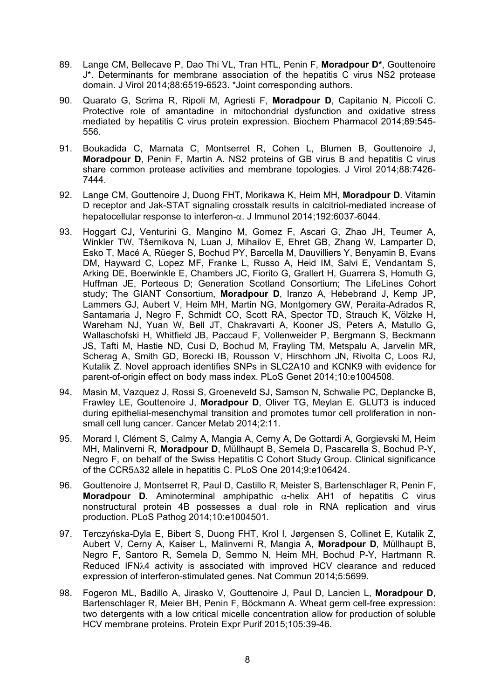- 89. Lange CM, Bellecave P, Dao Thi VL, Tran HTL, Penin F, **Moradpour D\***, Gouttenoire J\*. Determinants for membrane association of the hepatitis C virus NS2 protease domain. J Virol 2014;88:6519-6523. \*Joint corresponding authors.
- 90. Quarato G, Scrima R, Ripoli M, Agriesti F, **Moradpour D**, Capitanio N, Piccoli C. Protective role of amantadine in mitochondrial dysfunction and oxidative stress mediated by hepatitis C virus protein expression. Biochem Pharmacol 2014;89:545- 556.
- 91. Boukadida C, Marnata C, Montserret R, Cohen L, Blumen B, Gouttenoire J, **Moradpour D**, Penin F, Martin A. NS2 proteins of GB virus B and hepatitis C virus share common protease activities and membrane topologies. J Virol 2014;88:7426- 7444.
- 92. Lange CM, Gouttenoire J, Duong FHT, Morikawa K, Heim MH, **Moradpour D**. Vitamin D receptor and Jak-STAT signaling crosstalk results in calcitriol-mediated increase of hepatocellular response to interferon- $\alpha$ . J Immunol 2014:192:6037-6044.
- 93. Hoggart CJ, Venturini G, Mangino M, Gomez F, Ascari G, Zhao JH, Teumer A, Winkler TW, Tšernikova N, Luan J, Mihailov E, Ehret GB, Zhang W, Lamparter D, Esko T, Macé A, Rüeger S, Bochud PY, Barcella M, Dauvilliers Y, Benyamin B, Evans DM, Hayward C, Lopez MF, Franke L, Russo A, Heid IM, Salvi E, Vendantam S, Arking DE, Boerwinkle E, Chambers JC, Fiorito G, Grallert H, Guarrera S, Homuth G, Huffman JE, Porteous D; Generation Scotland Consortium; The LifeLines Cohort study; The GIANT Consortium, **Moradpour D**, Iranzo A, Hebebrand J, Kemp JP, Lammers GJ, Aubert V, Heim MH, Martin NG, Montgomery GW, Peraita-Adrados R, Santamaria J, Negro F, Schmidt CO, Scott RA, Spector TD, Strauch K, Völzke H, Wareham NJ, Yuan W, Bell JT, Chakravarti A, Kooner JS, Peters A, Matullo G, Wallaschofski H, Whitfield JB, Paccaud F, Vollenweider P, Bergmann S, Beckmann JS, Tafti M, Hastie ND, Cusi D, Bochud M, Frayling TM, Metspalu A, Jarvelin MR, Scherag A, Smith GD, Borecki IB, Rousson V, Hirschhorn JN, Rivolta C, Loos RJ, Kutalik Z. Novel approach identifies SNPs in SLC2A10 and KCNK9 with evidence for parent-of-origin effect on body mass index. PLoS Genet 2014;10:e1004508.
- 94. Masin M, Vazquez J, Rossi S, Groeneveld SJ, Samson N, Schwalie PC, Deplancke B, Frawley LE, Gouttenoire J, **Moradpour D**, Oliver TG, Meylan E. GLUT3 is induced during epithelial-mesenchymal transition and promotes tumor cell proliferation in nonsmall cell lung cancer. Cancer Metab 2014;2:11.
- 95. Morard I, Clément S, Calmy A, Mangia A, Cerny A, De Gottardi A, Gorgievski M, Heim MH, Malinverni R, **Moradpour D**, Müllhaupt B, Semela D, Pascarella S, Bochud P-Y, Negro F, on behalf of the Swiss Hepatitis C Cohort Study Group. Clinical significance of the CCR5∆32 allele in hepatitis C. PLoS One 2014;9:e106424.
- 96. Gouttenoire J, Montserret R, Paul D, Castillo R, Meister S, Bartenschlager R, Penin F, **Moradpour D.** Aminoterminal amphipathic  $\alpha$ -helix AH1 of hepatitis C virus nonstructural protein 4B possesses a dual role in RNA replication and virus production. PLoS Pathog 2014;10:e1004501.
- 97. Terczyńska-Dyla E, Bibert S, Duong FHT, Krol I, Jørgensen S, Collinet E, Kutalik Z, Aubert V, Cerny A, Kaiser L, Malinverni R, Mangia A, **Moradpour D**, Müllhaupt B, Negro F, Santoro R, Semela D, Semmo N, Heim MH, Bochud P-Y, Hartmann R. Reduced IFN<sub>24</sub> activity is associated with improved HCV clearance and reduced expression of interferon-stimulated genes. Nat Commun 2014;5:5699.
- 98. Fogeron ML, Badillo A, Jirasko V, Gouttenoire J, Paul D, Lancien L, **Moradpour D**, Bartenschlager R, Meier BH, Penin F, Böckmann A. Wheat germ cell-free expression: two detergents with a low critical micelle concentration allow for production of soluble HCV membrane proteins. Protein Expr Purif 2015;105:39-46.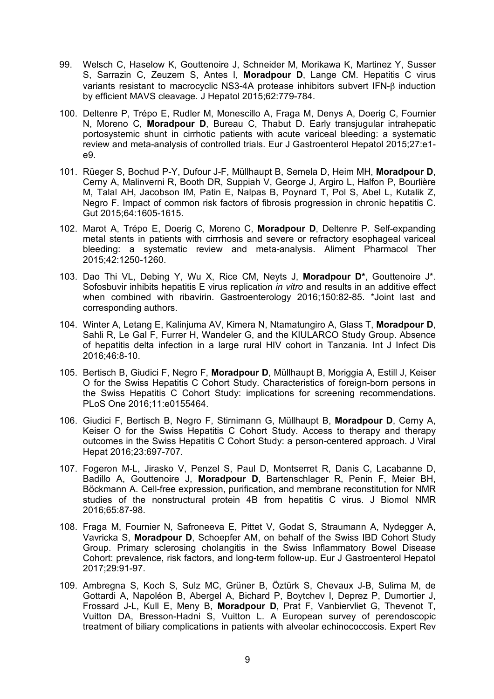- 99. Welsch C, Haselow K, Gouttenoire J, Schneider M, Morikawa K, Martinez Y, Susser S, Sarrazin C, Zeuzem S, Antes I, **Moradpour D**, Lange CM. Hepatitis C virus variants resistant to macrocyclic NS3-4A protease inhibitors subvert IFN-b induction by efficient MAVS cleavage. J Hepatol 2015;62:779-784.
- 100. Deltenre P, Trépo E, Rudler M, Monescillo A, Fraga M, Denys A, Doerig C, Fournier N, Moreno C, **Moradpour D**, Bureau C, Thabut D. Early transjugular intrahepatic portosystemic shunt in cirrhotic patients with acute variceal bleeding: a systematic review and meta-analysis of controlled trials. Eur J Gastroenterol Hepatol 2015;27:e1 e9.
- 101. Rüeger S, Bochud P-Y, Dufour J-F, Müllhaupt B, Semela D, Heim MH, **Moradpour D**, Cerny A, Malinverni R, Booth DR, Suppiah V, George J, Argiro L, Halfon P, Bourlière M, Talal AH, Jacobson IM, Patin E, Nalpas B, Poynard T, Pol S, Abel L, Kutalik Z, Negro F. Impact of common risk factors of fibrosis progression in chronic hepatitis C. Gut 2015;64:1605-1615.
- 102. Marot A, Trépo E, Doerig C, Moreno C, **Moradpour D**, Deltenre P. Self-expanding metal stents in patients with cirrrhosis and severe or refractory esophageal variceal bleeding: a systematic review and meta-analysis. Aliment Pharmacol Ther 2015;42:1250-1260.
- 103. Dao Thi VL, Debing Y, Wu X, Rice CM, Neyts J, **Moradpour D\***, Gouttenoire J\*. Sofosbuvir inhibits hepatitis E virus replication *in vitro* and results in an additive effect when combined with ribavirin. Gastroenterology 2016;150:82-85. \*Joint last and corresponding authors.
- 104. Winter A, Letang E, Kalinjuma AV, Kimera N, Ntamatungiro A, Glass T, **Moradpour D**, Sahli R, Le Gal F, Furrer H, Wandeler G, and the KIULARCO Study Group. Absence of hepatitis delta infection in a large rural HIV cohort in Tanzania. Int J Infect Dis 2016;46:8-10.
- 105. Bertisch B, Giudici F, Negro F, **Moradpour D**, Müllhaupt B, Moriggia A, Estill J, Keiser O for the Swiss Hepatitis C Cohort Study. Characteristics of foreign-born persons in the Swiss Hepatitis C Cohort Study: implications for screening recommendations. PLoS One 2016;11:e0155464.
- 106. Giudici F, Bertisch B, Negro F, Stirnimann G, Müllhaupt B, **Moradpour D**, Cerny A, Keiser O for the Swiss Hepatitis C Cohort Study. Access to therapy and therapy outcomes in the Swiss Hepatitis C Cohort Study: a person-centered approach. J Viral Hepat 2016;23:697-707.
- 107. Fogeron M-L, Jirasko V, Penzel S, Paul D, Montserret R, Danis C, Lacabanne D, Badillo A, Gouttenoire J, **Moradpour D**, Bartenschlager R, Penin F, Meier BH, Böckmann A. Cell-free expression, purification, and membrane reconstitution for NMR studies of the nonstructural protein 4B from hepatitis C virus. J Biomol NMR 2016;65:87-98.
- 108. Fraga M, Fournier N, Safroneeva E, Pittet V, Godat S, Straumann A, Nydegger A, Vavricka S, **Moradpour D**, Schoepfer AM, on behalf of the Swiss IBD Cohort Study Group. Primary sclerosing cholangitis in the Swiss Inflammatory Bowel Disease Cohort: prevalence, risk factors, and long-term follow-up. Eur J Gastroenterol Hepatol 2017;29:91-97.
- 109. Ambregna S, Koch S, Sulz MC, Grüner B, Öztürk S, Chevaux J-B, Sulima M, de Gottardi A, Napoléon B, Abergel A, Bichard P, Boytchev I, Deprez P, Dumortier J, Frossard J-L, Kull E, Meny B, **Moradpour D**, Prat F, Vanbiervliet G, Thevenot T, Vuitton DA, Bresson-Hadni S, Vuitton L. A European survey of perendoscopic treatment of biliary complications in patients with alveolar echinococcosis. Expert Rev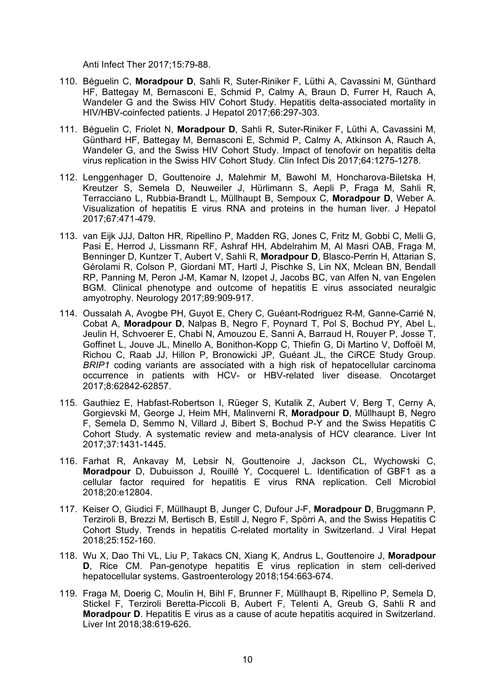Anti Infect Ther 2017;15:79-88.

- 110. Béguelin C, **Moradpour D**, Sahli R, Suter-Riniker F, Lüthi A, Cavassini M, Günthard HF, Battegay M, Bernasconi E, Schmid P, Calmy A, Braun D, Furrer H, Rauch A, Wandeler G and the Swiss HIV Cohort Study. Hepatitis delta-associated mortality in HIV/HBV-coinfected patients. J Hepatol 2017;66:297-303.
- 111. Béguelin C, Friolet N, **Moradpour D**, Sahli R, Suter-Riniker F, Lüthi A, Cavassini M, Günthard HF, Battegay M, Bernasconi E, Schmid P, Calmy A, Atkinson A, Rauch A, Wandeler G, and the Swiss HIV Cohort Study. Impact of tenofovir on hepatitis delta virus replication in the Swiss HIV Cohort Study. Clin Infect Dis 2017;64:1275-1278.
- 112. Lenggenhager D, Gouttenoire J, Malehmir M, Bawohl M, Honcharova-Biletska H, Kreutzer S, Semela D, Neuweiler J, Hürlimann S, Aepli P, Fraga M, Sahli R, Terracciano L, Rubbia-Brandt L, Müllhaupt B, Sempoux C, **Moradpour D**, Weber A. Visualization of hepatitis E virus RNA and proteins in the human liver. J Hepatol 2017;67:471-479.
- 113. van Eijk JJJ, Dalton HR, Ripellino P, Madden RG, Jones C, Fritz M, Gobbi C, Melli G, Pasi E, Herrod J, Lissmann RF, Ashraf HH, Abdelrahim M, Al Masri OAB, Fraga M, Benninger D, Kuntzer T, Aubert V, Sahli R, **Moradpour D**, Blasco-Perrin H, Attarian S, Gérolami R, Colson P, Giordani MT, Hartl J, Pischke S, Lin NX, Mclean BN, Bendall RP, Panning M, Peron J-M, Kamar N, Izopet J, Jacobs BC, van Alfen N, van Engelen BGM. Clinical phenotype and outcome of hepatitis E virus associated neuralgic amyotrophy. Neurology 2017;89:909-917.
- 114. Oussalah A, Avogbe PH, Guyot E, Chery C, Guéant-Rodriguez R-M, Ganne-Carrié N, Cobat A, **Moradpour D**, Nalpas B, Negro F, Poynard T, Pol S, Bochud PY, Abel L, Jeulin H, Schvoerer E, Chabi N, Amouzou E, Sanni A, Barraud H, Rouyer P, Josse T, Goffinet L, Jouve JL, Minello A, Bonithon-Kopp C, Thiefin G, Di Martino V, Doffoël M, Richou C, Raab JJ, Hillon P, Bronowicki JP, Guéant JL, the CiRCE Study Group. *BRIP1* coding variants are associated with a high risk of hepatocellular carcinoma occurrence in patients with HCV- or HBV-related liver disease. Oncotarget 2017;8:62842-62857.
- 115. Gauthiez E, Habfast-Robertson I, Rüeger S, Kutalik Z, Aubert V, Berg T, Cerny A, Gorgievski M, George J, Heim MH, Malinverni R, **Moradpour D**, Müllhaupt B, Negro F, Semela D, Semmo N, Villard J, Bibert S, Bochud P-Y and the Swiss Hepatitis C Cohort Study. A systematic review and meta-analysis of HCV clearance. Liver Int 2017;37:1431-1445.
- 116. Farhat R, Ankavay M, Lebsir N, Gouttenoire J, Jackson CL, Wychowski C, **Moradpour** D, Dubuisson J, Rouillé Y, Cocquerel L. Identification of GBF1 as a cellular factor required for hepatitis E virus RNA replication. Cell Microbiol 2018;20:e12804.
- 117. Keiser O, Giudici F, Müllhaupt B, Junger C, Dufour J-F, **Moradpour D**, Bruggmann P, Terziroli B, Brezzi M, Bertisch B, Estill J, Negro F, Spörri A, and the Swiss Hepatitis C Cohort Study. Trends in hepatitis C-related mortality in Switzerland. J Viral Hepat 2018;25:152-160.
- 118. Wu X, Dao Thi VL, Liu P, Takacs CN, Xiang K, Andrus L, Gouttenoire J, **Moradpour D**, Rice CM. Pan-genotype hepatitis E virus replication in stem cell-derived hepatocellular systems. Gastroenterology 2018;154:663-674.
- 119. Fraga M, Doerig C, Moulin H, Bihl F, Brunner F, Müllhaupt B, Ripellino P, Semela D, Stickel F, Terziroli Beretta-Piccoli B, Aubert F, Telenti A, Greub G, Sahli R and **Moradpour D**. Hepatitis E virus as a cause of acute hepatitis acquired in Switzerland. Liver Int 2018;38:619-626.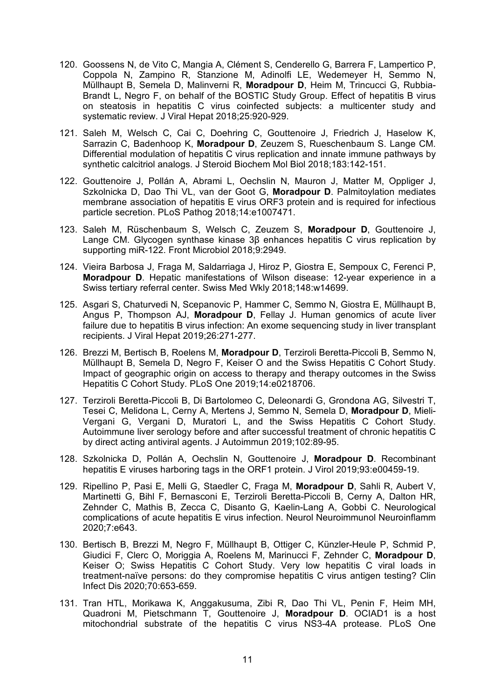- 120. Goossens N, de Vito C, Mangia A, Clément S, Cenderello G, Barrera F, Lampertico P, Coppola N, Zampino R, Stanzione M, Adinolfi LE, Wedemeyer H, Semmo N, Müllhaupt B, Semela D, Malinverni R, **Moradpour D**, Heim M, Trincucci G, Rubbia-Brandt L, Negro F, on behalf of the BOSTIC Study Group. Effect of hepatitis B virus on steatosis in hepatitis C virus coinfected subjects: a multicenter study and systematic review. J Viral Hepat 2018;25:920-929.
- 121. Saleh M, Welsch C, Cai C, Doehring C, Gouttenoire J, Friedrich J, Haselow K, Sarrazin C, Badenhoop K, **Moradpour D**, Zeuzem S, Rueschenbaum S. Lange CM. Differential modulation of hepatitis C virus replication and innate immune pathways by synthetic calcitriol analogs. J Steroid Biochem Mol Biol 2018;183:142-151.
- 122. Gouttenoire J, Pollán A, Abrami L, Oechslin N, Mauron J, Matter M, Oppliger J, Szkolnicka D, Dao Thi VL, van der Goot G, **Moradpour D**. Palmitoylation mediates membrane association of hepatitis E virus ORF3 protein and is required for infectious particle secretion. PLoS Pathog 2018;14:e1007471.
- 123. Saleh M, Rüschenbaum S, Welsch C, Zeuzem S, **Moradpour D**, Gouttenoire J, Lange CM. Glycogen synthase kinase 3β enhances hepatitis C virus replication by supporting miR-122. Front Microbiol 2018;9:2949.
- 124. Vieira Barbosa J, Fraga M, Saldarriaga J, Hiroz P, Giostra E, Sempoux C, Ferenci P, **Moradpour D**. Hepatic manifestations of Wilson disease: 12-year experience in a Swiss tertiary referral center. Swiss Med Wkly 2018;148:w14699.
- 125. Asgari S, Chaturvedi N, Scepanovic P, Hammer C, Semmo N, Giostra E, Müllhaupt B, Angus P, Thompson AJ, **Moradpour D**, Fellay J. Human genomics of acute liver failure due to hepatitis B virus infection: An exome sequencing study in liver transplant recipients. J Viral Hepat 2019;26:271-277.
- 126. Brezzi M, Bertisch B, Roelens M, **Moradpour D**, Terziroli Beretta-Piccoli B, Semmo N, Müllhaupt B, Semela D, Negro F, Keiser O and the Swiss Hepatitis C Cohort Study. Impact of geographic origin on access to therapy and therapy outcomes in the Swiss Hepatitis C Cohort Study. PLoS One 2019;14:e0218706.
- 127. Terziroli Beretta-Piccoli B, Di Bartolomeo C, Deleonardi G, Grondona AG, Silvestri T, Tesei C, Melidona L, Cerny A, Mertens J, Semmo N, Semela D, **Moradpour D**, Mieli-Vergani G, Vergani D, Muratori L, and the Swiss Hepatitis C Cohort Study. Autoimmune liver serology before and after successful treatment of chronic hepatitis C by direct acting antiviral agents. J Autoimmun 2019;102:89-95.
- 128. Szkolnicka D, Pollán A, Oechslin N, Gouttenoire J, **Moradpour D**. Recombinant hepatitis E viruses harboring tags in the ORF1 protein. J Virol 2019;93:e00459-19.
- 129. Ripellino P, Pasi E, Melli G, Staedler C, Fraga M, **Moradpour D**, Sahli R, Aubert V, Martinetti G, Bihl F, Bernasconi E, Terziroli Beretta-Piccoli B, Cerny A, Dalton HR, Zehnder C, Mathis B, Zecca C, Disanto G, Kaelin-Lang A, Gobbi C. Neurological complications of acute hepatitis E virus infection. Neurol Neuroimmunol Neuroinflamm 2020;7:e643.
- 130. Bertisch B, Brezzi M, Negro F, Müllhaupt B, Ottiger C, Künzler-Heule P, Schmid P, Giudici F, Clerc O, Moriggia A, Roelens M, Marinucci F, Zehnder C, **Moradpour D**, Keiser O; Swiss Hepatitis C Cohort Study. Very low hepatitis C viral loads in treatment-naïve persons: do they compromise hepatitis C virus antigen testing? Clin Infect Dis 2020;70:653-659.
- 131. Tran HTL, Morikawa K, Anggakusuma, Zibi R, Dao Thi VL, Penin F, Heim MH, Quadroni M, Pietschmann T, Gouttenoire J, **Moradpour D**. OCIAD1 is a host mitochondrial substrate of the hepatitis C virus NS3-4A protease. PLoS One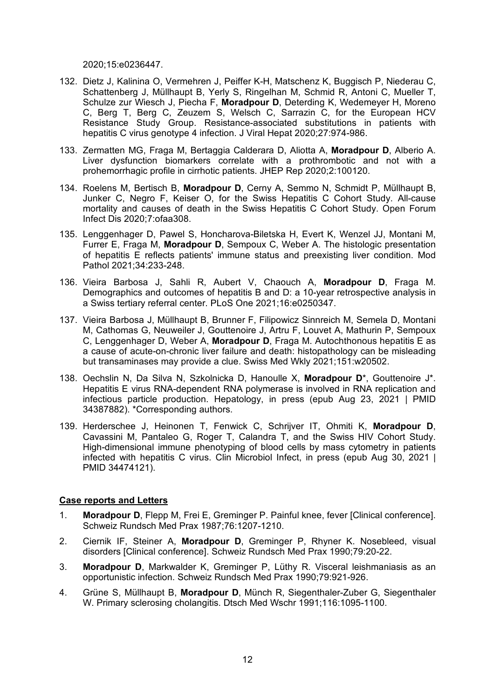2020;15:e0236447.

- 132. Dietz J, Kalinina O, Vermehren J, Peiffer K-H, Matschenz K, Buggisch P, Niederau C, Schattenberg J, Müllhaupt B, Yerly S, Ringelhan M, Schmid R, Antoni C, Mueller T, Schulze zur Wiesch J, Piecha F, **Moradpour D**, Deterding K, Wedemeyer H, Moreno C, Berg T, Berg C, Zeuzem S, Welsch C, Sarrazin C, for the European HCV Resistance Study Group. Resistance-associated substitutions in patients with hepatitis C virus genotype 4 infection. J Viral Hepat 2020;27:974-986.
- 133. Zermatten MG, Fraga M, Bertaggia Calderara D, Aliotta A, **Moradpour D**, Alberio A. Liver dysfunction biomarkers correlate with a prothrombotic and not with a prohemorrhagic profile in cirrhotic patients. JHEP Rep 2020;2:100120.
- 134. Roelens M, Bertisch B, **Moradpour D**, Cerny A, Semmo N, Schmidt P, Müllhaupt B, Junker C, Negro F, Keiser O, for the Swiss Hepatitis C Cohort Study. All-cause mortality and causes of death in the Swiss Hepatitis C Cohort Study. Open Forum Infect Dis 2020;7:ofaa308.
- 135. Lenggenhager D, Pawel S, Honcharova-Biletska H, Evert K, Wenzel JJ, Montani M, Furrer E, Fraga M, **Moradpour D**, Sempoux C, Weber A. The histologic presentation of hepatitis E reflects patients' immune status and preexisting liver condition. Mod Pathol 2021;34:233-248.
- 136. Vieira Barbosa J, Sahli R, Aubert V, Chaouch A, **Moradpour D**, Fraga M. Demographics and outcomes of hepatitis B and D: a 10-year retrospective analysis in a Swiss tertiary referral center. PLoS One 2021;16:e0250347.
- 137. Vieira Barbosa J, Müllhaupt B, Brunner F, Filipowicz Sinnreich M, Semela D, Montani M, Cathomas G, Neuweiler J, Gouttenoire J, Artru F, Louvet A, Mathurin P, Sempoux C, Lenggenhager D, Weber A, **Moradpour D**, Fraga M. Autochthonous hepatitis E as a cause of acute-on-chronic liver failure and death: histopathology can be misleading but transaminases may provide a clue. Swiss Med Wkly 2021;151:w20502.
- 138. Oechslin N, Da Silva N, Szkolnicka D, Hanoulle X, **Moradpour D**\*, Gouttenoire J\*. Hepatitis E virus RNA-dependent RNA polymerase is involved in RNA replication and infectious particle production. Hepatology, in press (epub Aug 23, 2021 | PMID 34387882). \*Corresponding authors.
- 139. Herderschee J, Heinonen T, Fenwick C, Schrijver IT, Ohmiti K, **Moradpour D**, Cavassini M, Pantaleo G, Roger T, Calandra T, and the Swiss HIV Cohort Study. High-dimensional immune phenotyping of blood cells by mass cytometry in patients infected with hepatitis C virus. Clin Microbiol Infect, in press (epub Aug 30, 2021 | PMID 34474121).

#### **Case reports and Letters**

- 1. **Moradpour D**, Flepp M, Frei E, Greminger P. Painful knee, fever [Clinical conference]. Schweiz Rundsch Med Prax 1987;76:1207-1210.
- 2. Ciernik IF, Steiner A, **Moradpour D**, Greminger P, Rhyner K. Nosebleed, visual disorders [Clinical conference]. Schweiz Rundsch Med Prax 1990;79:20-22.
- 3. **Moradpour D**, Markwalder K, Greminger P, Lüthy R. Visceral leishmaniasis as an opportunistic infection. Schweiz Rundsch Med Prax 1990;79:921-926.
- 4. Grüne S, Müllhaupt B, **Moradpour D**, Münch R, Siegenthaler-Zuber G, Siegenthaler W. Primary sclerosing cholangitis. Dtsch Med Wschr 1991;116:1095-1100.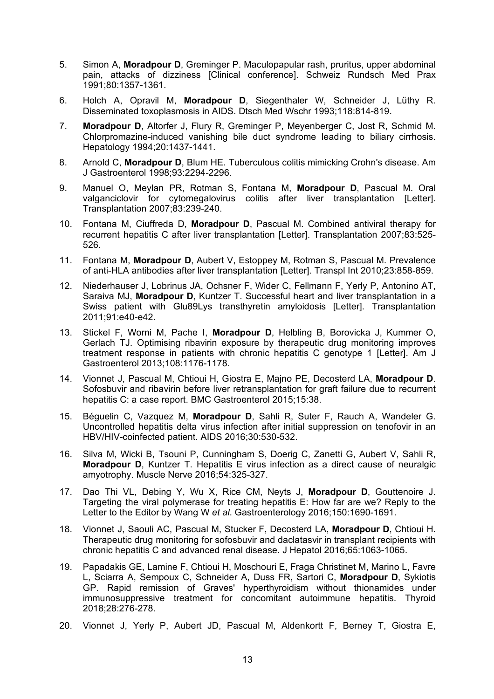- 5. Simon A, **Moradpour D**, Greminger P. Maculopapular rash, pruritus, upper abdominal pain, attacks of dizziness [Clinical conference]. Schweiz Rundsch Med Prax 1991;80:1357-1361.
- 6. Holch A, Opravil M, **Moradpour D**, Siegenthaler W, Schneider J, Lüthy R. Disseminated toxoplasmosis in AIDS. Dtsch Med Wschr 1993;118:814-819.
- 7. **Moradpour D**, Altorfer J, Flury R, Greminger P, Meyenberger C, Jost R, Schmid M. Chlorpromazine-induced vanishing bile duct syndrome leading to biliary cirrhosis. Hepatology 1994;20:1437-1441.
- 8. Arnold C, **Moradpour D**, Blum HE. Tuberculous colitis mimicking Crohn's disease. Am J Gastroenterol 1998;93:2294-2296.
- 9. Manuel O, Meylan PR, Rotman S, Fontana M, **Moradpour D**, Pascual M. Oral valganciclovir for cytomegalovirus colitis after liver transplantation [Letter]. Transplantation 2007;83:239-240.
- 10. Fontana M, Ciuffreda D, **Moradpour D**, Pascual M. Combined antiviral therapy for recurrent hepatitis C after liver transplantation [Letter]. Transplantation 2007;83:525- 526.
- 11. Fontana M, **Moradpour D**, Aubert V, Estoppey M, Rotman S, Pascual M. Prevalence of anti-HLA antibodies after liver transplantation [Letter]. Transpl Int 2010;23:858-859.
- 12. Niederhauser J, Lobrinus JA, Ochsner F, Wider C, Fellmann F, Yerly P, Antonino AT, Saraiva MJ, **Moradpour D**, Kuntzer T. Successful heart and liver transplantation in a Swiss patient with Glu89Lys transthyretin amyloidosis [Letter]. Transplantation 2011;91:e40-e42.
- 13. Stickel F, Worni M, Pache I, **Moradpour D**, Helbling B, Borovicka J, Kummer O, Gerlach TJ. Optimising ribavirin exposure by therapeutic drug monitoring improves treatment response in patients with chronic hepatitis C genotype 1 [Letter]. Am J Gastroenterol 2013;108:1176-1178.
- 14. Vionnet J, Pascual M, Chtioui H, Giostra E, Majno PE, Decosterd LA, **Moradpour D**. Sofosbuvir and ribavirin before liver retransplantation for graft failure due to recurrent hepatitis C: a case report. BMC Gastroenterol 2015;15:38.
- 15. Béguelin C, Vazquez M, **Moradpour D**, Sahli R, Suter F, Rauch A, Wandeler G. Uncontrolled hepatitis delta virus infection after initial suppression on tenofovir in an HBV/HIV-coinfected patient. AIDS 2016;30:530-532.
- 16. Silva M, Wicki B, Tsouni P, Cunningham S, Doerig C, Zanetti G, Aubert V, Sahli R, **Moradpour D.** Kuntzer T. Hepatitis E virus infection as a direct cause of neuralgic amyotrophy. Muscle Nerve 2016;54:325-327.
- 17. Dao Thi VL, Debing Y, Wu X, Rice CM, Neyts J, **Moradpour D**, Gouttenoire J. Targeting the viral polymerase for treating hepatitis E: How far are we? Reply to the Letter to the Editor by Wang W *et al*. Gastroenterology 2016;150:1690-1691.
- 18. Vionnet J, Saouli AC, Pascual M, Stucker F, Decosterd LA, **Moradpour D**, Chtioui H. Therapeutic drug monitoring for sofosbuvir and daclatasvir in transplant recipients with chronic hepatitis C and advanced renal disease. J Hepatol 2016;65:1063-1065.
- 19. Papadakis GE, Lamine F, Chtioui H, Moschouri E, Fraga Christinet M, Marino L, Favre L, Sciarra A, Sempoux C, Schneider A, Duss FR, Sartori C, **Moradpour D**, Sykiotis GP. Rapid remission of Graves' hyperthyroidism without thionamides under immunosuppressive treatment for concomitant autoimmune hepatitis. Thyroid 2018;28:276-278.
- 20. Vionnet J, Yerly P, Aubert JD, Pascual M, Aldenkortt F, Berney T, Giostra E,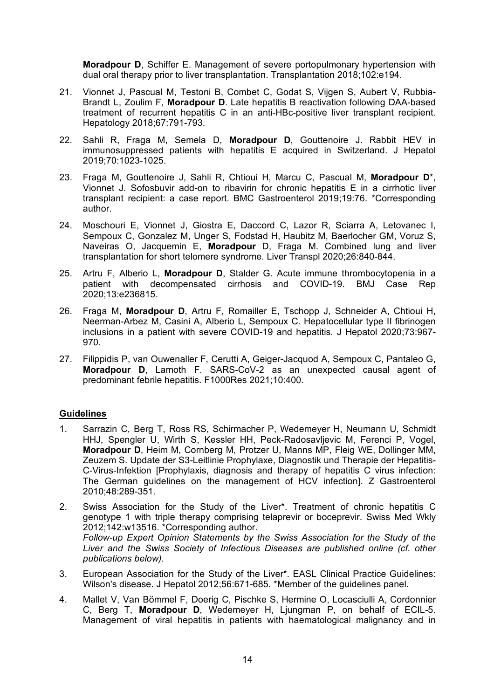**Moradpour D**, Schiffer E. Management of severe portopulmonary hypertension with dual oral therapy prior to liver transplantation. Transplantation 2018;102:e194.

- 21. Vionnet J, Pascual M, Testoni B, Combet C, Godat S, Vijgen S, Aubert V, Rubbia-Brandt L, Zoulim F, **Moradpour D**. Late hepatitis B reactivation following DAA-based treatment of recurrent hepatitis C in an anti-HBc-positive liver transplant recipient. Hepatology 2018;67:791-793.
- 22. Sahli R, Fraga M, Semela D, **Moradpour D**, Gouttenoire J. Rabbit HEV in immunosuppressed patients with hepatitis E acquired in Switzerland. J Hepatol 2019;70:1023-1025.
- 23. Fraga M, Gouttenoire J, Sahli R, Chtioui H, Marcu C, Pascual M, **Moradpour D**\*, Vionnet J. Sofosbuvir add-on to ribavirin for chronic hepatitis E in a cirrhotic liver transplant recipient: a case report. BMC Gastroenterol 2019;19:76. \*Corresponding author.
- 24. Moschouri E, Vionnet J, Giostra E, Daccord C, Lazor R, Sciarra A, Letovanec I, Sempoux C, Gonzalez M, Unger S, Fodstad H, Haubitz M, Baerlocher GM, Voruz S, Naveiras O, Jacquemin E, **Moradpour** D, Fraga M. Combined lung and liver transplantation for short telomere syndrome. Liver Transpl 2020;26:840-844.
- 25. Artru F, Alberio L, **Moradpour D**, Stalder G. Acute immune thrombocytopenia in a patient with decompensated cirrhosis and COVID-19. BMJ Case Rep 2020;13:e236815.
- 26. Fraga M, **Moradpour D**, Artru F, Romailler E, Tschopp J, Schneider A, Chtioui H, Neerman-Arbez M, Casini A, Alberio L, Sempoux C. Hepatocellular type II fibrinogen inclusions in a patient with severe COVID-19 and hepatitis. J Hepatol 2020;73:967- 970.
- 27. Filippidis P, van Ouwenaller F, Cerutti A, Geiger-Jacquod A, Sempoux C, Pantaleo G, **Moradpour D**, Lamoth F. SARS-CoV-2 as an unexpected causal agent of predominant febrile hepatitis. F1000Res 2021;10:400.

#### **Guidelines**

- 1. Sarrazin C, Berg T, Ross RS, Schirmacher P, Wedemeyer H, Neumann U, Schmidt HHJ, Spengler U, Wirth S, Kessler HH, Peck-Radosavljevic M, Ferenci P, Vogel, **Moradpour D**, Heim M, Cornberg M, Protzer U, Manns MP, Fleig WE, Dollinger MM, Zeuzem S. Update der S3-Leitlinie Prophylaxe, Diagnostik und Therapie der Hepatitis-C-Virus-Infektion [Prophylaxis, diagnosis and therapy of hepatitis C virus infection: The German guidelines on the management of HCV infection]. Z Gastroenterol 2010;48:289-351.
- 2. Swiss Association for the Study of the Liver\*. Treatment of chronic hepatitis C genotype 1 with triple therapy comprising telaprevir or boceprevir. Swiss Med Wkly 2012;142:w13516. \*Corresponding author. *Follow-up Expert Opinion Statements by the Swiss Association for the Study of the Liver and the Swiss Society of Infectious Diseases are published online (cf. other publications below).*
- 3. European Association for the Study of the Liver\*. EASL Clinical Practice Guidelines: Wilson's disease. J Hepatol 2012;56:671-685. \*Member of the guidelines panel.
- 4. Mallet V, Van Bömmel F, Doerig C, Pischke S, Hermine O, Locasciulli A, Cordonnier C, Berg T, **Moradpour D**, Wedemeyer H, Ljungman P, on behalf of ECIL-5. Management of viral hepatitis in patients with haematological malignancy and in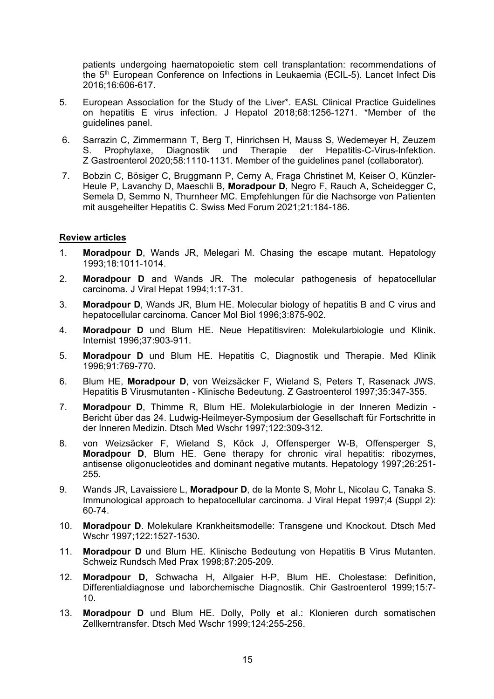patients undergoing haematopoietic stem cell transplantation: recommendations of the 5<sup>th</sup> European Conference on Infections in Leukaemia (ECIL-5). Lancet Infect Dis 2016;16:606-617.

- 5. European Association for the Study of the Liver\*. EASL Clinical Practice Guidelines on hepatitis E virus infection. J Hepatol 2018;68:1256-1271. \*Member of the guidelines panel.
- 6. Sarrazin C, Zimmermann T, Berg T, Hinrichsen H, Mauss S, Wedemeyer H, Zeuzem S. Prophylaxe, Diagnostik und Therapie der Hepatitis-C-Virus-Infektion. Z Gastroenterol 2020;58:1110-1131. Member of the guidelines panel (collaborator).
- 7. Bobzin C, Bösiger C, Bruggmann P, Cerny A, Fraga Christinet M, Keiser O, Künzler-Heule P, Lavanchy D, Maeschli B, **Moradpour D**, Negro F, Rauch A, Scheidegger C, Semela D, Semmo N, Thurnheer MC. Empfehlungen für die Nachsorge von Patienten mit ausgeheilter Hepatitis C. Swiss Med Forum 2021;21:184-186.

# **Review articles**

- 1. **Moradpour D**, Wands JR, Melegari M. Chasing the escape mutant. Hepatology 1993;18:1011-1014.
- 2. **Moradpour D** and Wands JR. The molecular pathogenesis of hepatocellular carcinoma. J Viral Hepat 1994;1:17-31.
- 3. **Moradpour D**, Wands JR, Blum HE. Molecular biology of hepatitis B and C virus and hepatocellular carcinoma. Cancer Mol Biol 1996;3:875-902.
- 4. **Moradpour D** und Blum HE. Neue Hepatitisviren: Molekularbiologie und Klinik. Internist 1996;37:903-911.
- 5. **Moradpour D** und Blum HE. Hepatitis C, Diagnostik und Therapie. Med Klinik 1996;91:769-770.
- 6. Blum HE, **Moradpour D**, von Weizsäcker F, Wieland S, Peters T, Rasenack JWS. Hepatitis B Virusmutanten - Klinische Bedeutung. Z Gastroenterol 1997;35:347-355.
- 7. **Moradpour D**, Thimme R, Blum HE. Molekularbiologie in der Inneren Medizin Bericht über das 24. Ludwig-Heilmeyer-Symposium der Gesellschaft für Fortschritte in der Inneren Medizin. Dtsch Med Wschr 1997;122:309-312.
- 8. von Weizsäcker F, Wieland S, Köck J, Offensperger W-B, Offensperger S, **Moradpour D**, Blum HE. Gene therapy for chronic viral hepatitis: ribozymes, antisense oligonucleotides and dominant negative mutants. Hepatology 1997;26:251- 255.
- 9. Wands JR, Lavaissiere L, **Moradpour D**, de la Monte S, Mohr L, Nicolau C, Tanaka S. Immunological approach to hepatocellular carcinoma. J Viral Hepat 1997;4 (Suppl 2): 60-74.
- 10. **Moradpour D**. Molekulare Krankheitsmodelle: Transgene und Knockout. Dtsch Med Wschr 1997;122:1527-1530.
- 11. **Moradpour D** und Blum HE. Klinische Bedeutung von Hepatitis B Virus Mutanten. Schweiz Rundsch Med Prax 1998;87:205-209.
- 12. **Moradpour D**, Schwacha H, Allgaier H-P, Blum HE. Cholestase: Definition, Differentialdiagnose und laborchemische Diagnostik. Chir Gastroenterol 1999;15:7- 10.
- 13. **Moradpour D** und Blum HE. Dolly, Polly et al.: Klonieren durch somatischen Zellkerntransfer. Dtsch Med Wschr 1999;124:255-256.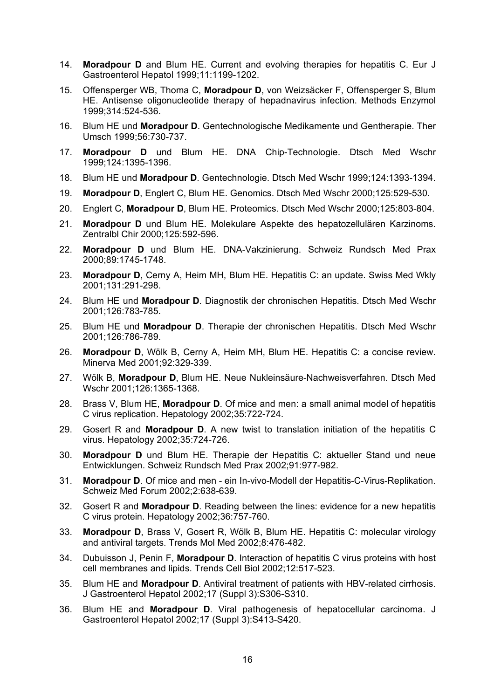- 14. **Moradpour D** and Blum HE. Current and evolving therapies for hepatitis C. Eur J Gastroenterol Hepatol 1999;11:1199-1202.
- 15. Offensperger WB, Thoma C, **Moradpour D**, von Weizsäcker F, Offensperger S, Blum HE. Antisense oligonucleotide therapy of hepadnavirus infection. Methods Enzymol 1999;314:524-536.
- 16. Blum HE und **Moradpour D**. Gentechnologische Medikamente und Gentherapie. Ther Umsch 1999;56:730-737.
- 17. **Moradpour D** und Blum HE. DNA Chip-Technologie. Dtsch Med Wschr 1999;124:1395-1396.
- 18. Blum HE und **Moradpour D**. Gentechnologie. Dtsch Med Wschr 1999;124:1393-1394.
- 19. **Moradpour D**, Englert C, Blum HE. Genomics. Dtsch Med Wschr 2000;125:529-530.
- 20. Englert C, **Moradpour D**, Blum HE. Proteomics. Dtsch Med Wschr 2000;125:803-804.
- 21. **Moradpour D** und Blum HE. Molekulare Aspekte des hepatozellulären Karzinoms. Zentralbl Chir 2000;125:592-596.
- 22. **Moradpour D** und Blum HE. DNA-Vakzinierung. Schweiz Rundsch Med Prax 2000;89:1745-1748.
- 23. **Moradpour D**, Cerny A, Heim MH, Blum HE. Hepatitis C: an update. Swiss Med Wkly 2001;131:291-298.
- 24. Blum HE und **Moradpour D**. Diagnostik der chronischen Hepatitis. Dtsch Med Wschr 2001;126:783-785.
- 25. Blum HE und **Moradpour D**. Therapie der chronischen Hepatitis. Dtsch Med Wschr 2001;126:786-789.
- 26. **Moradpour D**, Wölk B, Cerny A, Heim MH, Blum HE. Hepatitis C: a concise review. Minerva Med 2001;92:329-339.
- 27. Wölk B, **Moradpour D**, Blum HE. Neue Nukleinsäure-Nachweisverfahren. Dtsch Med Wschr 2001;126:1365-1368.
- 28. Brass V, Blum HE, **Moradpour D**. Of mice and men: a small animal model of hepatitis C virus replication. Hepatology 2002;35:722-724.
- 29. Gosert R and **Moradpour D**. A new twist to translation initiation of the hepatitis C virus. Hepatology 2002;35:724-726.
- 30. **Moradpour D** und Blum HE. Therapie der Hepatitis C: aktueller Stand und neue Entwicklungen. Schweiz Rundsch Med Prax 2002;91:977-982.
- 31. **Moradpour D**. Of mice and men ein In-vivo-Modell der Hepatitis-C-Virus-Replikation. Schweiz Med Forum 2002;2:638-639.
- 32. Gosert R and **Moradpour D**. Reading between the lines: evidence for a new hepatitis C virus protein. Hepatology 2002;36:757-760.
- 33. **Moradpour D**, Brass V, Gosert R, Wölk B, Blum HE. Hepatitis C: molecular virology and antiviral targets. Trends Mol Med 2002;8:476-482.
- 34. Dubuisson J, Penin F, **Moradpour D**. Interaction of hepatitis C virus proteins with host cell membranes and lipids. Trends Cell Biol 2002;12:517-523.
- 35. Blum HE and **Moradpour D**. Antiviral treatment of patients with HBV-related cirrhosis. J Gastroenterol Hepatol 2002;17 (Suppl 3):S306-S310.
- 36. Blum HE and **Moradpour D**. Viral pathogenesis of hepatocellular carcinoma. J Gastroenterol Hepatol 2002;17 (Suppl 3):S413-S420.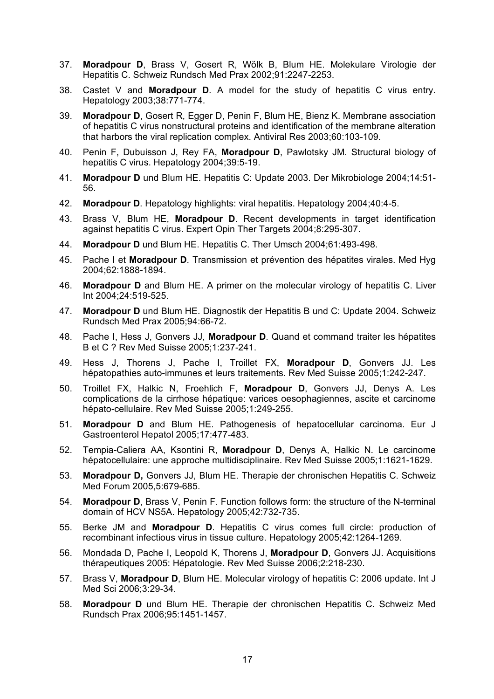- 37. **Moradpour D**, Brass V, Gosert R, Wölk B, Blum HE. Molekulare Virologie der Hepatitis C. Schweiz Rundsch Med Prax 2002;91:2247-2253.
- 38. Castet V and **Moradpour D**. A model for the study of hepatitis C virus entry. Hepatology 2003;38:771-774.
- 39. **Moradpour D**, Gosert R, Egger D, Penin F, Blum HE, Bienz K. Membrane association of hepatitis C virus nonstructural proteins and identification of the membrane alteration that harbors the viral replication complex. Antiviral Res 2003;60:103-109.
- 40. Penin F, Dubuisson J, Rey FA, **Moradpour D**, Pawlotsky JM. Structural biology of hepatitis C virus. Hepatology 2004;39:5-19.
- 41. **Moradpour D** und Blum HE. Hepatitis C: Update 2003. Der Mikrobiologe 2004;14:51- 56.
- 42. **Moradpour D**. Hepatology highlights: viral hepatitis. Hepatology 2004;40:4-5.
- 43. Brass V, Blum HE, **Moradpour D**. Recent developments in target identification against hepatitis C virus. Expert Opin Ther Targets 2004;8:295-307.
- 44. **Moradpour D** und Blum HE. Hepatitis C. Ther Umsch 2004;61:493-498.
- 45. Pache I et **Moradpour D**. Transmission et prévention des hépatites virales. Med Hyg 2004;62:1888-1894.
- 46. **Moradpour D** and Blum HE. A primer on the molecular virology of hepatitis C. Liver Int 2004;24:519-525.
- 47. **Moradpour D** und Blum HE. Diagnostik der Hepatitis B und C: Update 2004. Schweiz Rundsch Med Prax 2005;94:66-72.
- 48. Pache I, Hess J, Gonvers JJ, **Moradpour D**. Quand et command traiter les hépatites B et C ? Rev Med Suisse 2005;1:237-241.
- 49. Hess J, Thorens J, Pache I, Troillet FX, **Moradpour D**, Gonvers JJ. Les hépatopathies auto-immunes et leurs traitements. Rev Med Suisse 2005;1:242-247.
- 50. Troillet FX, Halkic N, Froehlich F, **Moradpour D**, Gonvers JJ, Denys A. Les complications de la cirrhose hépatique: varices oesophagiennes, ascite et carcinome hépato-cellulaire. Rev Med Suisse 2005;1:249-255.
- 51. **Moradpour D** and Blum HE. Pathogenesis of hepatocellular carcinoma. Eur J Gastroenterol Hepatol 2005;17:477-483.
- 52. Tempia-Caliera AA, Ksontini R, **Moradpour D**, Denys A, Halkic N. Le carcinome hépatocellulaire: une approche multidisciplinaire. Rev Med Suisse 2005;1:1621-1629.
- 53. **Moradpour D,** Gonvers JJ, Blum HE. Therapie der chronischen Hepatitis C. Schweiz Med Forum 2005,5:679-685.
- 54. **Moradpour D**, Brass V, Penin F. Function follows form: the structure of the N-terminal domain of HCV NS5A. Hepatology 2005;42:732-735.
- 55. Berke JM and **Moradpour D**. Hepatitis C virus comes full circle: production of recombinant infectious virus in tissue culture. Hepatology 2005;42:1264-1269.
- 56. Mondada D, Pache I, Leopold K, Thorens J, **Moradpour D**, Gonvers JJ. Acquisitions thérapeutiques 2005: Hépatologie. Rev Med Suisse 2006;2:218-230.
- 57. Brass V, **Moradpour D**, Blum HE. Molecular virology of hepatitis C: 2006 update. Int J Med Sci 2006;3:29-34.
- 58. **Moradpour D** und Blum HE. Therapie der chronischen Hepatitis C. Schweiz Med Rundsch Prax 2006;95:1451-1457.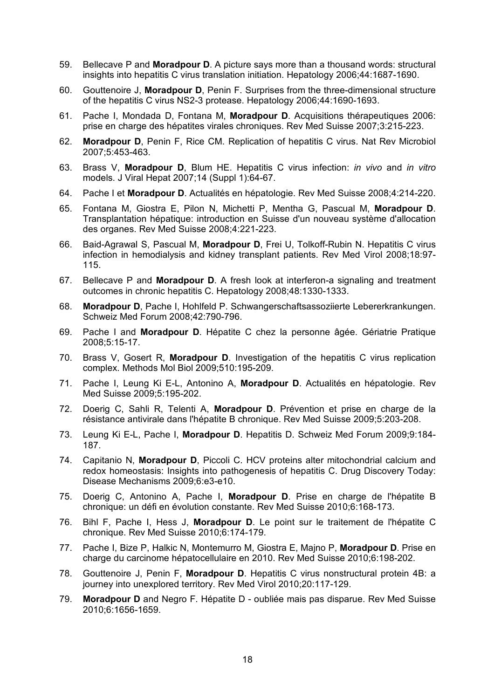- 59. Bellecave P and **Moradpour D**. A picture says more than a thousand words: structural insights into hepatitis C virus translation initiation. Hepatology 2006;44:1687-1690.
- 60. Gouttenoire J, **Moradpour D**, Penin F. Surprises from the three-dimensional structure of the hepatitis C virus NS2-3 protease. Hepatology 2006;44:1690-1693.
- 61. Pache I, Mondada D, Fontana M, **Moradpour D**. Acquisitions thérapeutiques 2006: prise en charge des hépatites virales chroniques. Rev Med Suisse 2007;3:215-223.
- 62. **Moradpour D**, Penin F, Rice CM. Replication of hepatitis C virus. Nat Rev Microbiol 2007;5:453-463.
- 63. Brass V, **Moradpour D**, Blum HE. Hepatitis C virus infection: *in vivo* and *in vitro* models. J Viral Hepat 2007;14 (Suppl 1):64-67.
- 64. Pache I et **Moradpour D**. Actualités en hépatologie. Rev Med Suisse 2008;4:214-220.
- 65. Fontana M, Giostra E, Pilon N, Michetti P, Mentha G, Pascual M, **Moradpour D**. Transplantation hépatique: introduction en Suisse d'un nouveau système d'allocation des organes. Rev Med Suisse 2008;4:221-223.
- 66. Baid-Agrawal S, Pascual M, **Moradpour D**, Frei U, Tolkoff-Rubin N. Hepatitis C virus infection in hemodialysis and kidney transplant patients. Rev Med Virol 2008;18:97- 115.
- 67. Bellecave P and **Moradpour D**. A fresh look at interferon-a signaling and treatment outcomes in chronic hepatitis C. Hepatology 2008;48:1330-1333.
- 68. **Moradpour D**, Pache I, Hohlfeld P. Schwangerschaftsassoziierte Lebererkrankungen. Schweiz Med Forum 2008;42:790-796.
- 69. Pache I and **Moradpour D**. Hépatite C chez la personne âgée. Gériatrie Pratique 2008;5:15-17.
- 70. Brass V, Gosert R, **Moradpour D**. Investigation of the hepatitis C virus replication complex. Methods Mol Biol 2009;510:195-209.
- 71. Pache I, Leung Ki E-L, Antonino A, **Moradpour D**. Actualités en hépatologie. Rev Med Suisse 2009;5:195-202.
- 72. Doerig C, Sahli R, Telenti A, **Moradpour D**. Prévention et prise en charge de la résistance antivirale dans l'hépatite B chronique. Rev Med Suisse 2009;5:203-208.
- 73. Leung Ki E-L, Pache I, **Moradpour D**. Hepatitis D. Schweiz Med Forum 2009;9:184- 187.
- 74. Capitanio N, **Moradpour D**, Piccoli C. HCV proteins alter mitochondrial calcium and redox homeostasis: Insights into pathogenesis of hepatitis C. Drug Discovery Today: Disease Mechanisms 2009;6:e3-e10.
- 75. Doerig C, Antonino A, Pache I, **Moradpour D**. Prise en charge de l'hépatite B chronique: un défi en évolution constante. Rev Med Suisse 2010;6:168-173.
- 76. Bihl F, Pache I, Hess J, **Moradpour D**. Le point sur le traitement de l'hépatite C chronique. Rev Med Suisse 2010;6:174-179.
- 77. Pache I, Bize P, Halkic N, Montemurro M, Giostra E, Majno P, **Moradpour D**. Prise en charge du carcinome hépatocellulaire en 2010. Rev Med Suisse 2010;6:198-202.
- 78. Gouttenoire J, Penin F, **Moradpour D**. Hepatitis C virus nonstructural protein 4B: a journey into unexplored territory. Rev Med Virol 2010;20:117-129.
- 79. **Moradpour D** and Negro F. Hépatite D oubliée mais pas disparue. Rev Med Suisse 2010;6:1656-1659.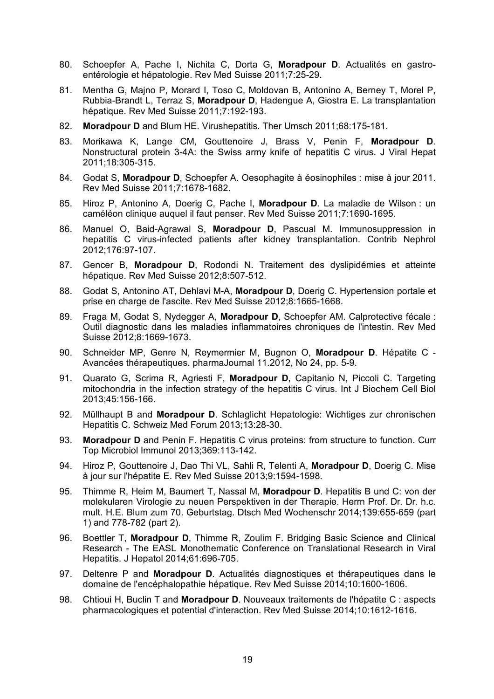- 80. Schoepfer A, Pache I, Nichita C, Dorta G, **Moradpour D**. Actualités en gastroentérologie et hépatologie. Rev Med Suisse 2011;7:25-29.
- 81. Mentha G, Majno P, Morard I, Toso C, Moldovan B, Antonino A, Berney T, Morel P, Rubbia-Brandt L, Terraz S, **Moradpour D**, Hadengue A, Giostra E. La transplantation hépatique. Rev Med Suisse 2011;7:192-193.
- 82. **Moradpour D** and Blum HE. Virushepatitis. Ther Umsch 2011;68:175-181.
- 83. Morikawa K, Lange CM, Gouttenoire J, Brass V, Penin F, **Moradpour D**. Nonstructural protein 3-4A: the Swiss army knife of hepatitis C virus. J Viral Hepat 2011;18:305-315.
- 84. Godat S, **Moradpour D**, Schoepfer A. Oesophagite à éosinophiles : mise à jour 2011. Rev Med Suisse 2011;7:1678-1682.
- 85. Hiroz P, Antonino A, Doerig C, Pache I, **Moradpour D**. La maladie de Wilson : un caméléon clinique auquel il faut penser. Rev Med Suisse 2011;7:1690-1695.
- 86. Manuel O, Baid-Agrawal S, **Moradpour D**, Pascual M. Immunosuppression in hepatitis C virus-infected patients after kidney transplantation. Contrib Nephrol 2012;176:97-107.
- 87. Gencer B, **Moradpour D**, Rodondi N. Traitement des dyslipidémies et atteinte hépatique. Rev Med Suisse 2012;8:507-512.
- 88. Godat S, Antonino AT, Dehlavi M-A, **Moradpour D**, Doerig C. Hypertension portale et prise en charge de l'ascite. Rev Med Suisse 2012;8:1665-1668.
- 89. Fraga M, Godat S, Nydegger A, **Moradpour D**, Schoepfer AM. Calprotective fécale : Outil diagnostic dans les maladies inflammatoires chroniques de l'intestin. Rev Med Suisse 2012;8:1669-1673.
- 90. Schneider MP, Genre N, Reymermier M, Bugnon O, **Moradpour D**. Hépatite C Avancées thérapeutiques. pharmaJournal 11.2012, No 24, pp. 5-9.
- 91. Quarato G, Scrima R, Agriesti F, **Moradpour D**, Capitanio N, Piccoli C. Targeting mitochondria in the infection strategy of the hepatitis C virus. Int J Biochem Cell Biol 2013;45:156-166.
- 92. Müllhaupt B and **Moradpour D**. Schlaglicht Hepatologie: Wichtiges zur chronischen Hepatitis C. Schweiz Med Forum 2013;13:28-30.
- 93. **Moradpour D** and Penin F. Hepatitis C virus proteins: from structure to function. Curr Top Microbiol Immunol 2013;369:113-142.
- 94. Hiroz P, Gouttenoire J, Dao Thi VL, Sahli R, Telenti A, **Moradpour D**, Doerig C. Mise à jour sur l'hépatite E. Rev Med Suisse 2013;9:1594-1598.
- 95. Thimme R, Heim M, Baumert T, Nassal M, **Moradpour D**. Hepatitis B und C: von der molekularen Virologie zu neuen Perspektiven in der Therapie. Herrn Prof. Dr. Dr. h.c. mult. H.E. Blum zum 70. Geburtstag. Dtsch Med Wochenschr 2014;139:655-659 (part 1) and 778-782 (part 2).
- 96. Boettler T, **Moradpour D**, Thimme R, Zoulim F. Bridging Basic Science and Clinical Research - The EASL Monothematic Conference on Translational Research in Viral Hepatitis. J Hepatol 2014;61:696-705.
- 97. Deltenre P and **Moradpour D**. Actualités diagnostiques et thérapeutiques dans le domaine de l'encéphalopathie hépatique. Rev Med Suisse 2014;10:1600-1606.
- 98. Chtioui H, Buclin T and **Moradpour D**. Nouveaux traitements de l'hépatite C : aspects pharmacologiques et potential d'interaction. Rev Med Suisse 2014;10:1612-1616.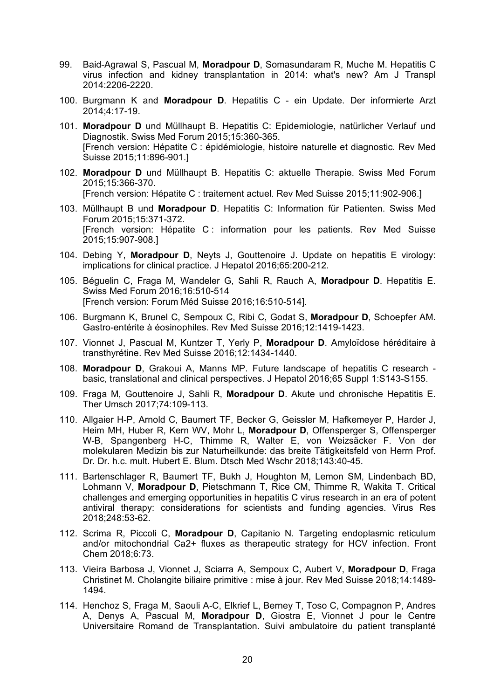- 99. Baid-Agrawal S, Pascual M, **Moradpour D**, Somasundaram R, Muche M. Hepatitis C virus infection and kidney transplantation in 2014: what's new? Am J Transpl 2014:2206-2220.
- 100. Burgmann K and **Moradpour D**. Hepatitis C ein Update. Der informierte Arzt 2014;4:17-19.
- 101. **Moradpour D** und Müllhaupt B. Hepatitis C: Epidemiologie, natürlicher Verlauf und Diagnostik. Swiss Med Forum 2015;15:360-365. [French version: Hépatite C : épidémiologie, histoire naturelle et diagnostic. Rev Med Suisse 2015;11:896-901.]
- 102. **Moradpour D** und Müllhaupt B. Hepatitis C: aktuelle Therapie. Swiss Med Forum 2015;15:366-370. [French version: Hépatite C : traitement actuel. Rev Med Suisse 2015;11:902-906.]
- 103. Müllhaupt B und **Moradpour D**. Hepatitis C: Information für Patienten. Swiss Med Forum 2015;15:371-372. [French version: Hépatite C : information pour les patients. Rev Med Suisse 2015;15:907-908.]
- 104. Debing Y, **Moradpour D**, Neyts J, Gouttenoire J. Update on hepatitis E virology: implications for clinical practice. J Hepatol 2016;65:200-212.
- 105. Béguelin C, Fraga M, Wandeler G, Sahli R, Rauch A, **Moradpour D**. Hepatitis E. Swiss Med Forum 2016;16:510-514 [French version: Forum Méd Suisse 2016;16:510-514].
- 106. Burgmann K, Brunel C, Sempoux C, Ribi C, Godat S, **Moradpour D**, Schoepfer AM. Gastro-entérite à éosinophiles. Rev Med Suisse 2016;12:1419-1423.
- 107. Vionnet J, Pascual M, Kuntzer T, Yerly P, **Moradpour D**. Amyloïdose héréditaire à transthyrétine. Rev Med Suisse 2016;12:1434-1440.
- 108. **Moradpour D**, Grakoui A, Manns MP. Future landscape of hepatitis C research basic, translational and clinical perspectives. J Hepatol 2016;65 Suppl 1:S143-S155.
- 109. Fraga M, Gouttenoire J, Sahli R, **Moradpour D**. Akute und chronische Hepatitis E. Ther Umsch 2017;74:109-113.
- 110. Allgaier H-P, Arnold C, Baumert TF, Becker G, Geissler M, Hafkemeyer P, Harder J, Heim MH, Huber R, Kern WV, Mohr L, **Moradpour D**, Offensperger S, Offensperger W-B, Spangenberg H-C, Thimme R, Walter E, von Weizsäcker F. Von der molekularen Medizin bis zur Naturheilkunde: das breite Tätigkeitsfeld von Herrn Prof. Dr. Dr. h.c. mult. Hubert E. Blum. Dtsch Med Wschr 2018;143:40-45.
- 111. Bartenschlager R, Baumert TF, Bukh J, Houghton M, Lemon SM, Lindenbach BD, Lohmann V, **Moradpour D**, Pietschmann T, Rice CM, Thimme R, Wakita T. Critical challenges and emerging opportunities in hepatitis C virus research in an era of potent antiviral therapy: considerations for scientists and funding agencies. Virus Res 2018;248:53-62.
- 112. Scrima R, Piccoli C, **Moradpour D**, Capitanio N. Targeting endoplasmic reticulum and/or mitochondrial Ca2+ fluxes as therapeutic strategy for HCV infection. Front Chem 2018;6:73.
- 113. Vieira Barbosa J, Vionnet J, Sciarra A, Sempoux C, Aubert V, **Moradpour D**, Fraga Christinet M. Cholangite biliaire primitive : mise à jour. Rev Med Suisse 2018;14:1489- 1494.
- 114. Henchoz S, Fraga M, Saouli A-C, Elkrief L, Berney T, Toso C, Compagnon P, Andres A, Denys A, Pascual M, **Moradpour D**, Giostra E, Vionnet J pour le Centre Universitaire Romand de Transplantation. Suivi ambulatoire du patient transplanté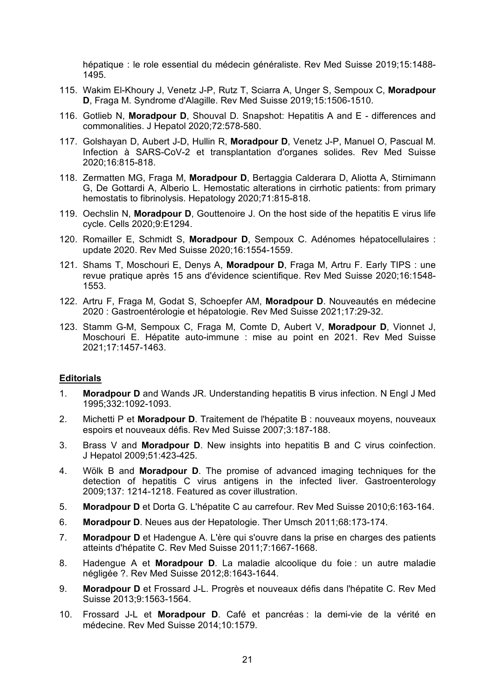hépatique : le role essential du médecin généraliste. Rev Med Suisse 2019;15:1488- 1495.

- 115. Wakim El-Khoury J, Venetz J-P, Rutz T, Sciarra A, Unger S, Sempoux C, **Moradpour D**, Fraga M. Syndrome d'Alagille. Rev Med Suisse 2019;15:1506-1510.
- 116. Gotlieb N, **Moradpour D**, Shouval D. Snapshot: Hepatitis A and E differences and commonalities. J Hepatol 2020;72:578-580.
- 117. Golshayan D, Aubert J-D, Hullin R, **Moradpour D**, Venetz J-P, Manuel O, Pascual M. Infection à SARS-CoV-2 et transplantation d'organes solides. Rev Med Suisse 2020;16:815-818.
- 118. Zermatten MG, Fraga M, **Moradpour D**, Bertaggia Calderara D, Aliotta A, Stirnimann G, De Gottardi A, Alberio L. Hemostatic alterations in cirrhotic patients: from primary hemostatis to fibrinolysis. Hepatology 2020;71:815-818.
- 119. Oechslin N, **Moradpour D**, Gouttenoire J. On the host side of the hepatitis E virus life cycle. Cells 2020;9:E1294.
- 120. Romailler E, Schmidt S, **Moradpour D**, Sempoux C. Adénomes hépatocellulaires : update 2020. Rev Med Suisse 2020;16:1554-1559.
- 121. Shams T, Moschouri E, Denys A, **Moradpour D**, Fraga M, Artru F. Early TIPS : une revue pratique après 15 ans d'évidence scientifique. Rev Med Suisse 2020;16:1548- 1553.
- 122. Artru F, Fraga M, Godat S, Schoepfer AM, **Moradpour D**. Nouveautés en médecine 2020 : Gastroentérologie et hépatologie. Rev Med Suisse 2021;17:29-32.
- 123. Stamm G-M, Sempoux C, Fraga M, Comte D, Aubert V, **Moradpour D**, Vionnet J, Moschouri E. Hépatite auto-immune : mise au point en 2021. Rev Med Suisse 2021;17:1457-1463.

#### **Editorials**

- 1. **Moradpour D** and Wands JR. Understanding hepatitis B virus infection. N Engl J Med 1995;332:1092-1093.
- 2. Michetti P et **Moradpour D**. Traitement de l'hépatite B : nouveaux moyens, nouveaux espoirs et nouveaux défis. Rev Med Suisse 2007;3:187-188.
- 3. Brass V and **Moradpour D**. New insights into hepatitis B and C virus coinfection. J Hepatol 2009;51:423-425.
- 4. Wölk B and **Moradpour D**. The promise of advanced imaging techniques for the detection of hepatitis C virus antigens in the infected liver. Gastroenterology 2009;137: 1214-1218. Featured as cover illustration.
- 5. **Moradpour D** et Dorta G. L'hépatite C au carrefour. Rev Med Suisse 2010;6:163-164.
- 6. **Moradpour D**. Neues aus der Hepatologie. Ther Umsch 2011;68:173-174.
- 7. **Moradpour D** et Hadengue A. L'ère qui s'ouvre dans la prise en charges des patients atteints d'hépatite C. Rev Med Suisse 2011;7:1667-1668.
- 8. Hadengue A et **Moradpour D**. La maladie alcoolique du foie : un autre maladie négligée ?. Rev Med Suisse 2012;8:1643-1644.
- 9. **Moradpour D** et Frossard J-L. Progrès et nouveaux défis dans l'hépatite C. Rev Med Suisse 2013;9:1563-1564.
- 10. Frossard J-L et **Moradpour D**. Café et pancréas : la demi-vie de la vérité en médecine. Rev Med Suisse 2014;10:1579.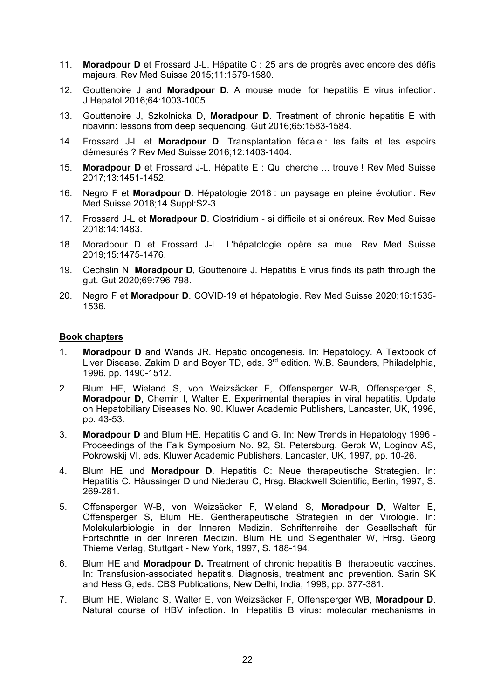- 11. **Moradpour D** et Frossard J-L. Hépatite C : 25 ans de progrès avec encore des défis majeurs. Rev Med Suisse 2015;11:1579-1580.
- 12. Gouttenoire J and **Moradpour D**. A mouse model for hepatitis E virus infection. J Hepatol 2016;64:1003-1005.
- 13. Gouttenoire J, Szkolnicka D, **Moradpour D**. Treatment of chronic hepatitis E with ribavirin: lessons from deep sequencing. Gut 2016;65:1583-1584.
- 14. Frossard J-L et **Moradpour D**. Transplantation fécale : les faits et les espoirs démesurés ? Rev Med Suisse 2016;12:1403-1404.
- 15. **Moradpour D** et Frossard J-L. Hépatite E : Qui cherche ... trouve ! Rev Med Suisse 2017;13:1451-1452.
- 16. Negro F et **Moradpour D**. Hépatologie 2018 : un paysage en pleine évolution. Rev Med Suisse 2018;14 Suppl:S2-3.
- 17. Frossard J-L et **Moradpour D**. Clostridium si difficile et si onéreux. Rev Med Suisse 2018;14:1483.
- 18. Moradpour D et Frossard J-L. L'hépatologie opère sa mue. Rev Med Suisse 2019;15:1475-1476.
- 19. Oechslin N, **Moradpour D**, Gouttenoire J. Hepatitis E virus finds its path through the gut. Gut 2020;69:796-798.
- 20. Negro F et **Moradpour D**. COVID-19 et hépatologie. Rev Med Suisse 2020;16:1535- 1536.

#### **Book chapters**

- 1. **Moradpour D** and Wands JR. Hepatic oncogenesis. In: Hepatology. A Textbook of Liver Disease. Zakim D and Boyer TD, eds. 3rd edition. W.B. Saunders, Philadelphia, 1996, pp. 1490-1512.
- 2. Blum HE, Wieland S, von Weizsäcker F, Offensperger W-B, Offensperger S, **Moradpour D**, Chemin I, Walter E. Experimental therapies in viral hepatitis. Update on Hepatobiliary Diseases No. 90. Kluwer Academic Publishers, Lancaster, UK, 1996, pp. 43-53.
- 3. **Moradpour D** and Blum HE. Hepatitis C and G. In: New Trends in Hepatology 1996 Proceedings of the Falk Symposium No. 92, St. Petersburg. Gerok W, Loginov AS, Pokrowskij VI, eds. Kluwer Academic Publishers, Lancaster, UK, 1997, pp. 10-26.
- 4. Blum HE und **Moradpour D**. Hepatitis C: Neue therapeutische Strategien. In: Hepatitis C. Häussinger D und Niederau C, Hrsg. Blackwell Scientific, Berlin, 1997, S. 269-281.
- 5. Offensperger W-B, von Weizsäcker F, Wieland S, **Moradpour D**, Walter E, Offensperger S, Blum HE. Gentherapeutische Strategien in der Virologie. In: Molekularbiologie in der Inneren Medizin. Schriftenreihe der Gesellschaft für Fortschritte in der Inneren Medizin. Blum HE und Siegenthaler W, Hrsg. Georg Thieme Verlag, Stuttgart - New York, 1997, S. 188-194.
- 6. Blum HE and **Moradpour D.** Treatment of chronic hepatitis B: therapeutic vaccines. In: Transfusion-associated hepatitis. Diagnosis, treatment and prevention. Sarin SK and Hess G, eds. CBS Publications, New Delhi, India, 1998, pp. 377-381.
- 7. Blum HE, Wieland S, Walter E, von Weizsäcker F, Offensperger WB, **Moradpour D**. Natural course of HBV infection. In: Hepatitis B virus: molecular mechanisms in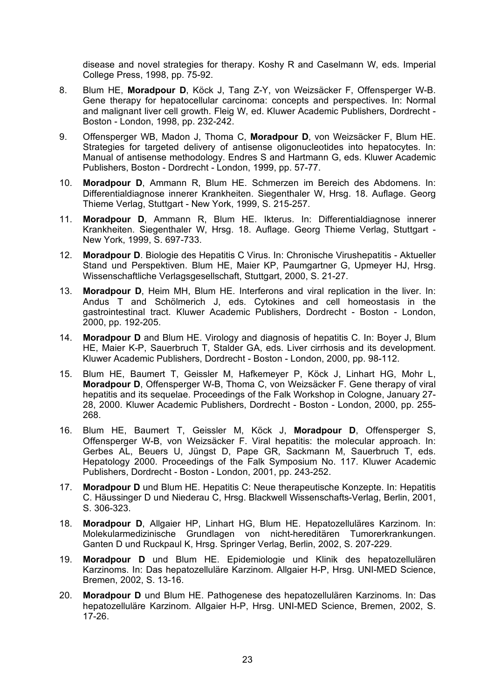disease and novel strategies for therapy. Koshy R and Caselmann W, eds. Imperial College Press, 1998, pp. 75-92.

- 8. Blum HE, **Moradpour D**, Köck J, Tang Z-Y, von Weizsäcker F, Offensperger W-B. Gene therapy for hepatocellular carcinoma: concepts and perspectives. In: Normal and malignant liver cell growth. Fleig W, ed. Kluwer Academic Publishers, Dordrecht - Boston - London, 1998, pp. 232-242.
- 9. Offensperger WB, Madon J, Thoma C, **Moradpour D**, von Weizsäcker F, Blum HE. Strategies for targeted delivery of antisense oligonucleotides into hepatocytes. In: Manual of antisense methodology. Endres S and Hartmann G, eds. Kluwer Academic Publishers, Boston - Dordrecht - London, 1999, pp. 57-77.
- 10. **Moradpour D**, Ammann R, Blum HE. Schmerzen im Bereich des Abdomens. In: Differentialdiagnose innerer Krankheiten. Siegenthaler W, Hrsg. 18. Auflage. Georg Thieme Verlag, Stuttgart - New York, 1999, S. 215-257.
- 11. **Moradpour D**, Ammann R, Blum HE. Ikterus. In: Differentialdiagnose innerer Krankheiten. Siegenthaler W, Hrsg. 18. Auflage. Georg Thieme Verlag, Stuttgart - New York, 1999, S. 697-733.
- 12. **Moradpour D**. Biologie des Hepatitis C Virus. In: Chronische Virushepatitis Aktueller Stand und Perspektiven. Blum HE, Maier KP, Paumgartner G, Upmeyer HJ, Hrsg. Wissenschaftliche Verlagsgesellschaft, Stuttgart, 2000, S. 21-27.
- 13. **Moradpour D**, Heim MH, Blum HE. Interferons and viral replication in the liver. In: Andus T and Schölmerich J, eds. Cytokines and cell homeostasis in the gastrointestinal tract. Kluwer Academic Publishers, Dordrecht - Boston - London, 2000, pp. 192-205.
- 14. **Moradpour D** and Blum HE. Virology and diagnosis of hepatitis C. In: Boyer J, Blum HE, Maier K-P, Sauerbruch T, Stalder GA, eds. Liver cirrhosis and its development. Kluwer Academic Publishers, Dordrecht - Boston - London, 2000, pp. 98-112.
- 15. Blum HE, Baumert T, Geissler M, Hafkemeyer P, Köck J, Linhart HG, Mohr L, **Moradpour D**, Offensperger W-B, Thoma C, von Weizsäcker F. Gene therapy of viral hepatitis and its sequelae. Proceedings of the Falk Workshop in Cologne, January 27- 28, 2000. Kluwer Academic Publishers, Dordrecht - Boston - London, 2000, pp. 255- 268.
- 16. Blum HE, Baumert T, Geissler M, Köck J, **Moradpour D**, Offensperger S, Offensperger W-B, von Weizsäcker F. Viral hepatitis: the molecular approach. In: Gerbes AL, Beuers U, Jüngst D, Pape GR, Sackmann M, Sauerbruch T, eds. Hepatology 2000. Proceedings of the Falk Symposium No. 117. Kluwer Academic Publishers, Dordrecht - Boston - London, 2001, pp. 243-252.
- 17. **Moradpour D** und Blum HE. Hepatitis C: Neue therapeutische Konzepte. In: Hepatitis C. Häussinger D und Niederau C, Hrsg. Blackwell Wissenschafts-Verlag, Berlin, 2001, S. 306-323.
- 18. **Moradpour D**, Allgaier HP, Linhart HG, Blum HE. Hepatozelluläres Karzinom. In: Molekularmedizinische Grundlagen von nicht-hereditären Tumorerkrankungen. Ganten D und Ruckpaul K, Hrsg. Springer Verlag, Berlin, 2002, S. 207-229.
- 19. **Moradpour D** und Blum HE. Epidemiologie und Klinik des hepatozellulären Karzinoms. In: Das hepatozelluläre Karzinom. Allgaier H-P, Hrsg. UNI-MED Science, Bremen, 2002, S. 13-16.
- 20. **Moradpour D** und Blum HE. Pathogenese des hepatozellulären Karzinoms. In: Das hepatozelluläre Karzinom. Allgaier H-P, Hrsg. UNI-MED Science, Bremen, 2002, S. 17-26.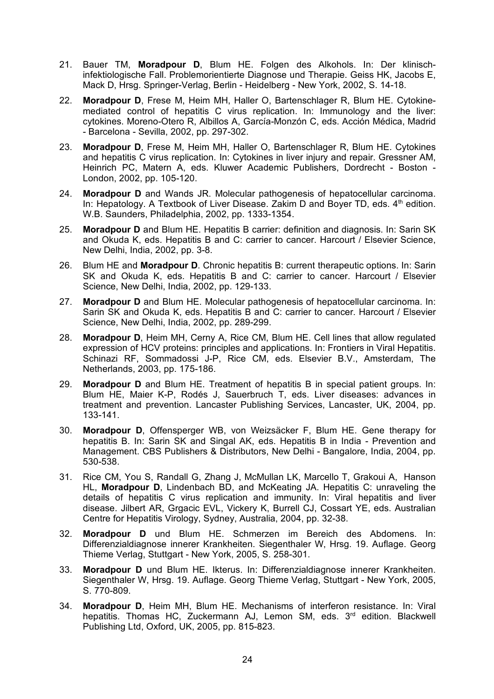- 21. Bauer TM, **Moradpour D**, Blum HE. Folgen des Alkohols. In: Der klinischinfektiologische Fall. Problemorientierte Diagnose und Therapie. Geiss HK, Jacobs E, Mack D, Hrsg. Springer-Verlag, Berlin - Heidelberg - New York, 2002, S. 14-18.
- 22. **Moradpour D**, Frese M, Heim MH, Haller O, Bartenschlager R, Blum HE. Cytokinemediated control of hepatitis C virus replication. In: Immunology and the liver: cytokines. Moreno-Otero R, Albillos A, García-Monzón C, eds. Acción Médica, Madrid - Barcelona - Sevilla, 2002, pp. 297-302.
- 23. **Moradpour D**, Frese M, Heim MH, Haller O, Bartenschlager R, Blum HE. Cytokines and hepatitis C virus replication. In: Cytokines in liver injury and repair. Gressner AM, Heinrich PC, Matern A, eds. Kluwer Academic Publishers, Dordrecht - Boston - London, 2002, pp. 105-120.
- 24. **Moradpour D** and Wands JR. Molecular pathogenesis of hepatocellular carcinoma. In: Hepatology. A Textbook of Liver Disease. Zakim D and Boyer TD, eds.  $4<sup>th</sup>$  edition. W.B. Saunders, Philadelphia, 2002, pp. 1333-1354.
- 25. **Moradpour D** and Blum HE. Hepatitis B carrier: definition and diagnosis. In: Sarin SK and Okuda K, eds. Hepatitis B and C: carrier to cancer. Harcourt / Elsevier Science, New Delhi, India, 2002, pp. 3-8.
- 26. Blum HE and **Moradpour D**. Chronic hepatitis B: current therapeutic options. In: Sarin SK and Okuda K, eds. Hepatitis B and C: carrier to cancer. Harcourt / Elsevier Science, New Delhi, India, 2002, pp. 129-133.
- 27. **Moradpour D** and Blum HE. Molecular pathogenesis of hepatocellular carcinoma. In: Sarin SK and Okuda K, eds. Hepatitis B and C: carrier to cancer. Harcourt / Elsevier Science, New Delhi, India, 2002, pp. 289-299.
- 28. **Moradpour D**, Heim MH, Cerny A, Rice CM, Blum HE. Cell lines that allow regulated expression of HCV proteins: principles and applications. In: Frontiers in Viral Hepatitis. Schinazi RF, Sommadossi J-P, Rice CM, eds. Elsevier B.V., Amsterdam, The Netherlands, 2003, pp. 175-186.
- 29. **Moradpour D** and Blum HE. Treatment of hepatitis B in special patient groups. In: Blum HE, Maier K-P, Rodés J, Sauerbruch T, eds. Liver diseases: advances in treatment and prevention. Lancaster Publishing Services, Lancaster, UK, 2004, pp. 133-141.
- 30. **Moradpour D**, Offensperger WB, von Weizsäcker F, Blum HE. Gene therapy for hepatitis B. In: Sarin SK and Singal AK, eds. Hepatitis B in India - Prevention and Management. CBS Publishers & Distributors, New Delhi - Bangalore, India, 2004, pp. 530-538.
- 31. Rice CM, You S, Randall G, Zhang J, McMullan LK, Marcello T, Grakoui A, Hanson HL, **Moradpour D**, Lindenbach BD, and McKeating JA. Hepatitis C: unraveling the details of hepatitis C virus replication and immunity. In: Viral hepatitis and liver disease. Jilbert AR, Grgacic EVL, Vickery K, Burrell CJ, Cossart YE, eds. Australian Centre for Hepatitis Virology, Sydney, Australia, 2004, pp. 32-38.
- 32. **Moradpour D** und Blum HE. Schmerzen im Bereich des Abdomens. In: Differenzialdiagnose innerer Krankheiten. Siegenthaler W, Hrsg. 19. Auflage. Georg Thieme Verlag, Stuttgart - New York, 2005, S. 258-301.
- 33. **Moradpour D** und Blum HE. Ikterus. In: Differenzialdiagnose innerer Krankheiten. Siegenthaler W, Hrsg. 19. Auflage. Georg Thieme Verlag, Stuttgart - New York, 2005, S. 770-809.
- 34. **Moradpour D**, Heim MH, Blum HE. Mechanisms of interferon resistance. In: Viral hepatitis. Thomas HC, Zuckermann AJ, Lemon SM, eds. 3<sup>rd</sup> edition. Blackwell Publishing Ltd, Oxford, UK, 2005, pp. 815-823.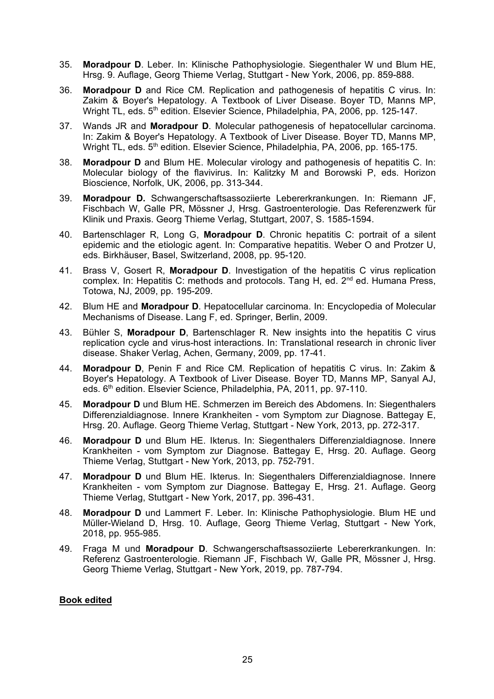- 35. **Moradpour D**. Leber. In: Klinische Pathophysiologie. Siegenthaler W und Blum HE, Hrsg. 9. Auflage, Georg Thieme Verlag, Stuttgart - New York, 2006, pp. 859-888.
- 36. **Moradpour D** and Rice CM. Replication and pathogenesis of hepatitis C virus. In: Zakim & Boyer's Hepatology. A Textbook of Liver Disease. Boyer TD, Manns MP, Wright TL, eds. 5<sup>th</sup> edition. Elsevier Science, Philadelphia, PA, 2006, pp. 125-147.
- 37. Wands JR and **Moradpour D**. Molecular pathogenesis of hepatocellular carcinoma. In: Zakim & Boyer's Hepatology. A Textbook of Liver Disease. Boyer TD, Manns MP, Wright TL, eds. 5<sup>th</sup> edition. Elsevier Science, Philadelphia, PA, 2006, pp. 165-175.
- 38. **Moradpour D** and Blum HE. Molecular virology and pathogenesis of hepatitis C. In: Molecular biology of the flavivirus. In: Kalitzky M and Borowski P, eds. Horizon Bioscience, Norfolk, UK, 2006, pp. 313-344.
- 39. **Moradpour D.** Schwangerschaftsassoziierte Lebererkrankungen. In: Riemann JF, Fischbach W, Galle PR, Mössner J, Hrsg. Gastroenterologie. Das Referenzwerk für Klinik und Praxis. Georg Thieme Verlag, Stuttgart, 2007, S. 1585-1594.
- 40. Bartenschlager R, Long G, **Moradpour D**. Chronic hepatitis C: portrait of a silent epidemic and the etiologic agent. In: Comparative hepatitis. Weber O and Protzer U, eds. Birkhäuser, Basel, Switzerland, 2008, pp. 95-120.
- 41. Brass V, Gosert R, **Moradpour D**. Investigation of the hepatitis C virus replication complex. In: Hepatitis C: methods and protocols. Tang H, ed. 2nd ed. Humana Press, Totowa, NJ, 2009, pp. 195-209.
- 42. Blum HE and **Moradpour D**. Hepatocellular carcinoma. In: Encyclopedia of Molecular Mechanisms of Disease. Lang F, ed. Springer, Berlin, 2009.
- 43. Bühler S, **Moradpour D**, Bartenschlager R. New insights into the hepatitis C virus replication cycle and virus-host interactions. In: Translational research in chronic liver disease. Shaker Verlag, Achen, Germany, 2009, pp. 17-41.
- 44. **Moradpour D**, Penin F and Rice CM. Replication of hepatitis C virus. In: Zakim & Boyer's Hepatology. A Textbook of Liver Disease. Boyer TD, Manns MP, Sanyal AJ, eds. 6<sup>th</sup> edition. Elsevier Science, Philadelphia, PA, 2011, pp. 97-110.
- 45. **Moradpour D** und Blum HE. Schmerzen im Bereich des Abdomens. In: Siegenthalers Differenzialdiagnose. Innere Krankheiten - vom Symptom zur Diagnose. Battegay E, Hrsg. 20. Auflage. Georg Thieme Verlag, Stuttgart - New York, 2013, pp. 272-317.
- 46. **Moradpour D** und Blum HE. Ikterus. In: Siegenthalers Differenzialdiagnose. Innere Krankheiten - vom Symptom zur Diagnose. Battegay E, Hrsg. 20. Auflage. Georg Thieme Verlag, Stuttgart - New York, 2013, pp. 752-791.
- 47. **Moradpour D** und Blum HE. Ikterus. In: Siegenthalers Differenzialdiagnose. Innere Krankheiten - vom Symptom zur Diagnose. Battegay E, Hrsg. 21. Auflage. Georg Thieme Verlag, Stuttgart - New York, 2017, pp. 396-431.
- 48. **Moradpour D** und Lammert F. Leber. In: Klinische Pathophysiologie. Blum HE und Müller-Wieland D, Hrsg. 10. Auflage, Georg Thieme Verlag, Stuttgart - New York, 2018, pp. 955-985.
- 49. Fraga M und **Moradpour D**. Schwangerschaftsassoziierte Lebererkrankungen. In: Referenz Gastroenterologie. Riemann JF, Fischbach W, Galle PR, Mössner J, Hrsg. Georg Thieme Verlag, Stuttgart - New York, 2019, pp. 787-794.

# **Book edited**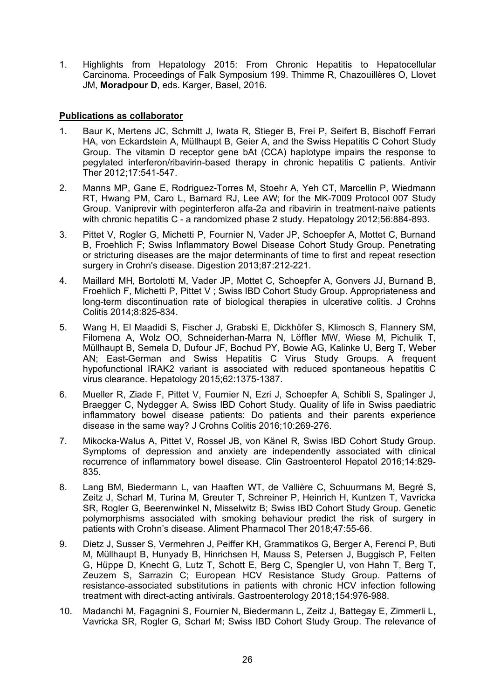1. Highlights from Hepatology 2015: From Chronic Hepatitis to Hepatocellular Carcinoma. Proceedings of Falk Symposium 199. Thimme R, Chazouillères O, Llovet JM, **Moradpour D**, eds. Karger, Basel, 2016.

## **Publications as collaborator**

- 1. Baur K, Mertens JC, Schmitt J, Iwata R, Stieger B, Frei P, Seifert B, Bischoff Ferrari HA, von Eckardstein A, Müllhaupt B, Geier A, and the Swiss Hepatitis C Cohort Study Group. The vitamin D receptor gene bAt (CCA) haplotype impairs the response to pegylated interferon/ribavirin-based therapy in chronic hepatitis C patients. Antivir Ther 2012;17:541-547.
- 2. Manns MP, Gane E, Rodriguez-Torres M, Stoehr A, Yeh CT, Marcellin P, Wiedmann RT, Hwang PM, Caro L, Barnard RJ, Lee AW; for the MK-7009 Protocol 007 Study Group. Vaniprevir with peginterferon alfa-2a and ribavirin in treatment-naive patients with chronic hepatitis C - a randomized phase 2 study. Hepatology 2012;56:884-893.
- 3. Pittet V, Rogler G, Michetti P, Fournier N, Vader JP, Schoepfer A, Mottet C, Burnand B, Froehlich F; Swiss Inflammatory Bowel Disease Cohort Study Group. Penetrating or stricturing diseases are the major determinants of time to first and repeat resection surgery in Crohn's disease. Digestion 2013;87:212-221.
- 4. Maillard MH, Bortolotti M, Vader JP, Mottet C, Schoepfer A, Gonvers JJ, Burnand B, Froehlich F, Michetti P, Pittet V ; Swiss IBD Cohort Study Group. Appropriateness and long-term discontinuation rate of biological therapies in ulcerative colitis. J Crohns Colitis 2014;8:825-834.
- 5. Wang H, El Maadidi S, Fischer J, Grabski E, Dickhöfer S, Klimosch S, Flannery SM, Filomena A, Wolz OO, Schneiderhan-Marra N, Löffler MW, Wiese M, Pichulik T, Müllhaupt B, Semela D, Dufour JF, Bochud PY, Bowie AG, Kalinke U, Berg T, Weber AN; East-German and Swiss Hepatitis C Virus Study Groups. A frequent hypofunctional IRAK2 variant is associated with reduced spontaneous hepatitis C virus clearance. Hepatology 2015;62:1375-1387.
- 6. Mueller R, Ziade F, Pittet V, Fournier N, Ezri J, Schoepfer A, Schibli S, Spalinger J, Braegger C, Nydegger A, Swiss IBD Cohort Study. Quality of life in Swiss paediatric inflammatory bowel disease patients: Do patients and their parents experience disease in the same way? J Crohns Colitis 2016;10:269-276.
- 7. Mikocka-Walus A, Pittet V, Rossel JB, von Känel R, Swiss IBD Cohort Study Group. Symptoms of depression and anxiety are independently associated with clinical recurrence of inflammatory bowel disease. Clin Gastroenterol Hepatol 2016;14:829- 835.
- 8. Lang BM, Biedermann L, van Haaften WT, de Vallière C, Schuurmans M, Begré S, Zeitz J, Scharl M, Turina M, Greuter T, Schreiner P, Heinrich H, Kuntzen T, Vavricka SR, Rogler G, Beerenwinkel N, Misselwitz B; Swiss IBD Cohort Study Group. Genetic polymorphisms associated with smoking behaviour predict the risk of surgery in patients with Crohn's disease. Aliment Pharmacol Ther 2018;47:55-66.
- 9. Dietz J, Susser S, Vermehren J, Peiffer KH, Grammatikos G, Berger A, Ferenci P, Buti M, Müllhaupt B, Hunyady B, Hinrichsen H, Mauss S, Petersen J, Buggisch P, Felten G, Hüppe D, Knecht G, Lutz T, Schott E, Berg C, Spengler U, von Hahn T, Berg T, Zeuzem S, Sarrazin C; European HCV Resistance Study Group. Patterns of resistance-associated substitutions in patients with chronic HCV infection following treatment with direct-acting antivirals. Gastroenterology 2018;154:976-988.
- 10. Madanchi M, Fagagnini S, Fournier N, Biedermann L, Zeitz J, Battegay E, Zimmerli L, Vavricka SR, Rogler G, Scharl M; Swiss IBD Cohort Study Group. The relevance of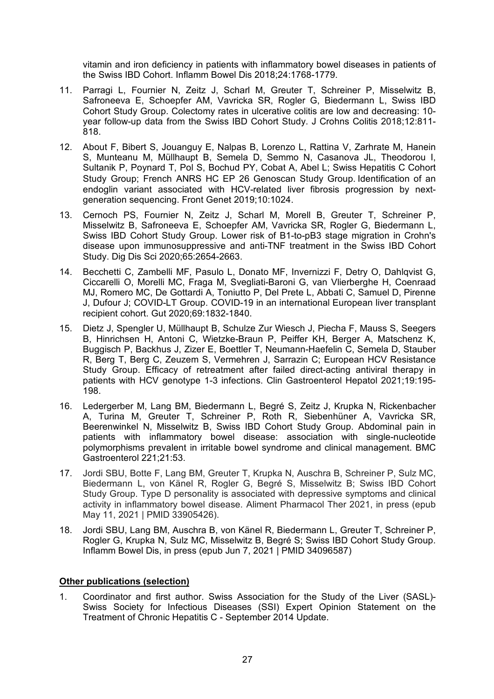vitamin and iron deficiency in patients with inflammatory bowel diseases in patients of the Swiss IBD Cohort. Inflamm Bowel Dis 2018;24:1768-1779.

- 11. Parragi L, Fournier N, Zeitz J, Scharl M, Greuter T, Schreiner P, Misselwitz B, Safroneeva E, Schoepfer AM, Vavricka SR, Rogler G, Biedermann L, Swiss IBD Cohort Study Group. Colectomy rates in ulcerative colitis are low and decreasing: 10 year follow-up data from the Swiss IBD Cohort Study. J Crohns Colitis 2018;12:811- 818.
- 12. About F, Bibert S, Jouanguy E, Nalpas B, Lorenzo L, Rattina V, Zarhrate M, Hanein S, Munteanu M, Müllhaupt B, Semela D, Semmo N, Casanova JL, Theodorou I, Sultanik P, Poynard T, Pol S, Bochud PY, Cobat A, Abel L; Swiss Hepatitis C Cohort Study Group; French ANRS HC EP 26 Genoscan Study Group. Identification of an endoglin variant associated with HCV-related liver fibrosis progression by nextgeneration sequencing. Front Genet 2019;10:1024.
- 13. Cernoch PS, Fournier N, Zeitz J, Scharl M, Morell B, Greuter T, Schreiner P, Misselwitz B, Safroneeva E, Schoepfer AM, Vavricka SR, Rogler G, Biedermann L, Swiss IBD Cohort Study Group. Lower risk of B1-to-pB3 stage migration in Crohn's disease upon immunosuppressive and anti-TNF treatment in the Swiss IBD Cohort Study. Dig Dis Sci 2020;65:2654-2663.
- 14. Becchetti C, Zambelli MF, Pasulo L, Donato MF, Invernizzi F, Detry O, Dahlqvist G, Ciccarelli O, Morelli MC, Fraga M, Svegliati-Baroni G, van Vlierberghe H, Coenraad MJ, Romero MC, De Gottardi A, Toniutto P, Del Prete L, Abbati C, Samuel D, Pirenne J, Dufour J; COVID-LT Group. COVID-19 in an international European liver transplant recipient cohort. Gut 2020;69:1832-1840.
- 15. Dietz J, Spengler U, Müllhaupt B, Schulze Zur Wiesch J, Piecha F, Mauss S, Seegers B, Hinrichsen H, Antoni C, Wietzke-Braun P, Peiffer KH, Berger A, Matschenz K, Buggisch P, Backhus J, Zizer E, Boettler T, Neumann-Haefelin C, Semela D, Stauber R, Berg T, Berg C, Zeuzem S, Vermehren J, Sarrazin C; European HCV Resistance Study Group. Efficacy of retreatment after failed direct-acting antiviral therapy in patients with HCV genotype 1-3 infections. Clin Gastroenterol Hepatol 2021;19:195- 198.
- 16. Ledergerber M, Lang BM, Biedermann L, Begré S, Zeitz J, Krupka N, Rickenbacher A, Turina M, Greuter T, Schreiner P, Roth R, Siebenhüner A, Vavricka SR, Beerenwinkel N, Misselwitz B, Swiss IBD Cohort Study Group. Abdominal pain in patients with inflammatory bowel disease: association with single-nucleotide polymorphisms prevalent in irritable bowel syndrome and clinical management. BMC Gastroenterol 221;21:53.
- 17. Jordi SBU, Botte F, Lang BM, Greuter T, Krupka N, Auschra B, Schreiner P, Sulz MC, Biedermann L, von Känel R, Rogler G, Begré S, Misselwitz B; Swiss IBD Cohort Study Group. Type D personality is associated with depressive symptoms and clinical activity in inflammatory bowel disease. Aliment Pharmacol Ther 2021, in press (epub May 11, 2021 | PMID 33905426).
- 18. Jordi SBU, Lang BM, Auschra B, von Känel R, Biedermann L, Greuter T, Schreiner P, Rogler G, Krupka N, Sulz MC, Misselwitz B, Begré S; Swiss IBD Cohort Study Group. Inflamm Bowel Dis, in press (epub Jun 7, 2021 | PMID 34096587)

#### **Other publications (selection)**

1. Coordinator and first author. Swiss Association for the Study of the Liver (SASL)- Swiss Society for Infectious Diseases (SSI) Expert Opinion Statement on the Treatment of Chronic Hepatitis C - September 2014 Update.